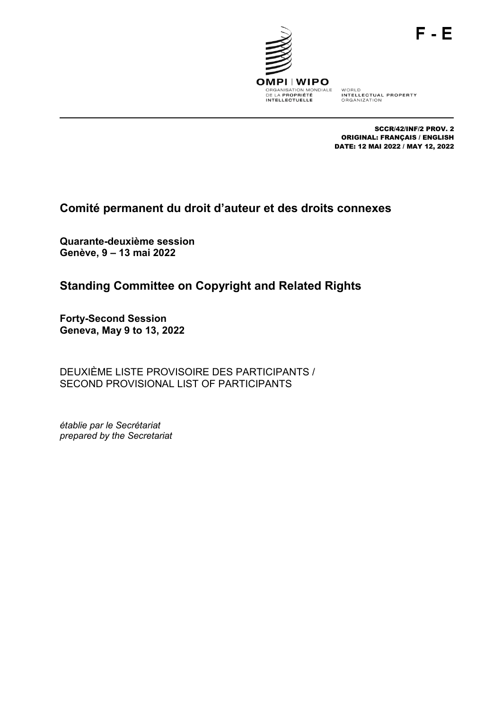



WORLD<br>INTELLECTUAL PROPERTY<br>ORGANIZATION

SCCR/42/INF/2 PROV. 2 ORIGINAL: FRANÇAIS / ENGLISH DATE: 12 MAI 2022 / MAY 12, 2022

# **Comité permanent du droit d'auteur et des droits connexes**

**Quarante-deuxième session Genève, 9 – 13 mai 2022**

# **Standing Committee on Copyright and Related Rights**

**Forty-Second Session Geneva, May 9 to 13, 2022**

DEUXIÈME LISTE PROVISOIRE DES PARTICIPANTS / SECOND PROVISIONAL LIST OF PARTICIPANTS

*établie par le Secrétariat prepared by the Secretariat*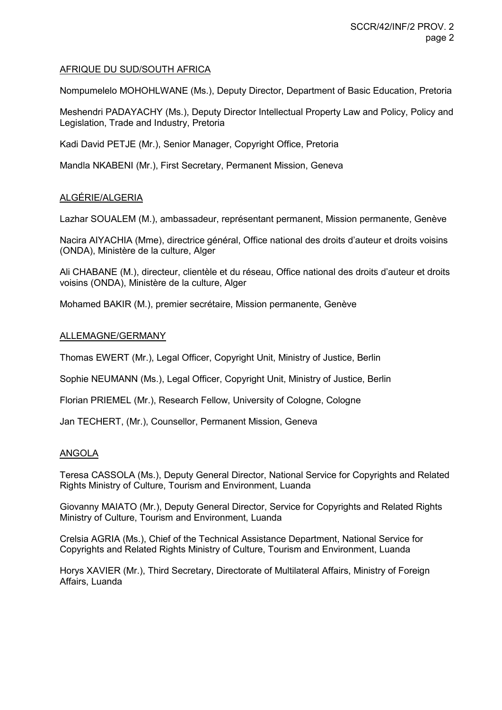# AFRIQUE DU SUD/SOUTH AFRICA

Nompumelelo MOHOHLWANE (Ms.), Deputy Director, Department of Basic Education, Pretoria

Meshendri PADAYACHY (Ms.), Deputy Director Intellectual Property Law and Policy, Policy and Legislation, Trade and Industry, Pretoria

Kadi David PETJE (Mr.), Senior Manager, Copyright Office, Pretoria

Mandla NKABENI (Mr.), First Secretary, Permanent Mission, Geneva

# ALGÉRIE/ALGERIA

Lazhar SOUALEM (M.), ambassadeur, représentant permanent, Mission permanente, Genève

Nacira AIYACHIA (Mme), directrice général, Office national des droits d'auteur et droits voisins (ONDA), Ministère de la culture, Alger

Ali CHABANE (M.), directeur, clientèle et du réseau, Office national des droits d'auteur et droits voisins (ONDA), Ministère de la culture, Alger

Mohamed BAKIR (M.), premier secrétaire, Mission permanente, Genève

# ALLEMAGNE/GERMANY

Thomas EWERT (Mr.), Legal Officer, Copyright Unit, Ministry of Justice, Berlin

Sophie NEUMANN (Ms.), Legal Officer, Copyright Unit, Ministry of Justice, Berlin

Florian PRIEMEL (Mr.), Research Fellow, University of Cologne, Cologne

Jan TECHERT, (Mr.), Counsellor, Permanent Mission, Geneva

# ANGOLA

Teresa CASSOLA (Ms.), Deputy General Director, National Service for Copyrights and Related Rights Ministry of Culture, Tourism and Environment, Luanda

Giovanny MAIATO (Mr.), Deputy General Director, Service for Copyrights and Related Rights Ministry of Culture, Tourism and Environment, Luanda

Crelsia AGRIA (Ms.), Chief of the Technical Assistance Department, National Service for Copyrights and Related Rights Ministry of Culture, Tourism and Environment, Luanda

Horys XAVIER (Mr.), Third Secretary, Directorate of Multilateral Affairs, Ministry of Foreign Affairs, Luanda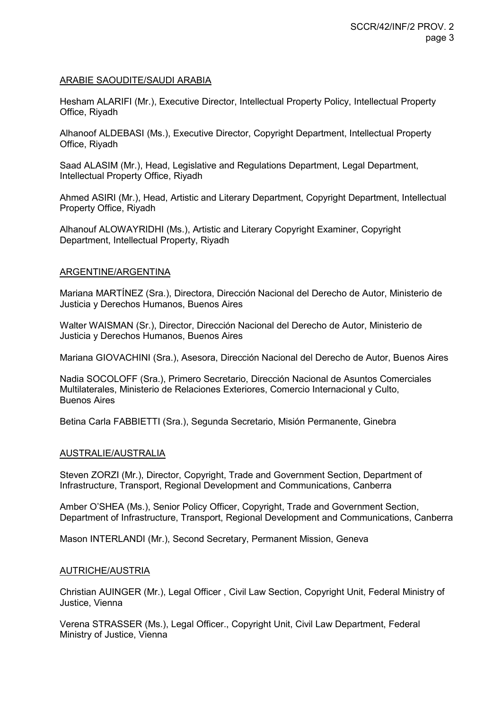#### ARABIE SAOUDITE/SAUDI ARABIA

Hesham ALARIFI (Mr.), Executive Director, Intellectual Property Policy, Intellectual Property Office, Riyadh

Alhanoof ALDEBASI (Ms.), Executive Director, Copyright Department, Intellectual Property Office, Riyadh

Saad ALASIM (Mr.), Head, Legislative and Regulations Department, Legal Department, Intellectual Property Office, Riyadh

Ahmed ASIRI (Mr.), Head, Artistic and Literary Department, Copyright Department, Intellectual Property Office, Riyadh

Alhanouf ALOWAYRIDHI (Ms.), Artistic and Literary Copyright Examiner, Copyright Department, Intellectual Property, Riyadh

#### ARGENTINE/ARGENTINA

Mariana MARTÍNEZ (Sra.), Directora, Dirección Nacional del Derecho de Autor, Ministerio de Justicia y Derechos Humanos, Buenos Aires

Walter WAISMAN (Sr.), Director, Dirección Nacional del Derecho de Autor, Ministerio de Justicia y Derechos Humanos, Buenos Aires

Mariana GIOVACHINI (Sra.), Asesora, Dirección Nacional del Derecho de Autor, Buenos Aires

Nadia SOCOLOFF (Sra.), Primero Secretario, Dirección Nacional de Asuntos Comerciales Multilaterales, Ministerio de Relaciones Exteriores, Comercio Internacional y Culto, Buenos Aires

Betina Carla FABBIETTI (Sra.), Segunda Secretario, Misión Permanente, Ginebra

# AUSTRALIE/AUSTRALIA

Steven ZORZI (Mr.), Director, Copyright, Trade and Government Section, Department of Infrastructure, Transport, Regional Development and Communications, Canberra

Amber O'SHEA (Ms.), Senior Policy Officer, Copyright, Trade and Government Section, Department of Infrastructure, Transport, Regional Development and Communications, Canberra

Mason INTERLANDI (Mr.), Second Secretary, Permanent Mission, Geneva

#### AUTRICHE/AUSTRIA

Christian AUINGER (Mr.), Legal Officer , Civil Law Section, Copyright Unit, Federal Ministry of Justice, Vienna

Verena STRASSER (Ms.), Legal Officer., Copyright Unit, Civil Law Department, Federal Ministry of Justice, Vienna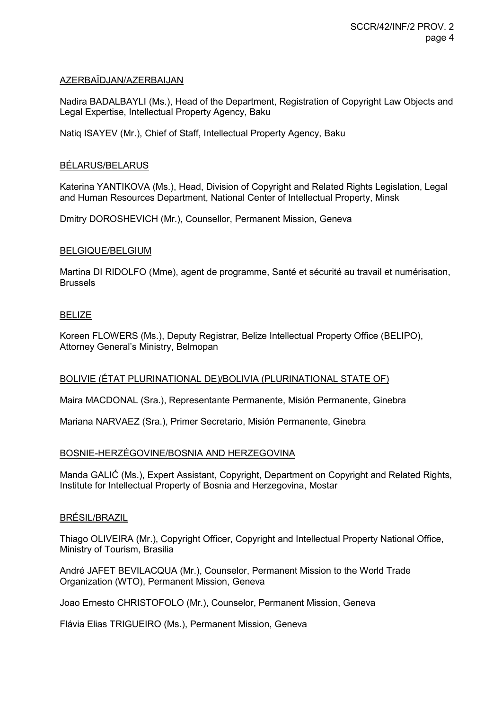# AZERBAÏDJAN/AZERBAIJAN

Nadira BADALBAYLI (Ms.), Head of the Department, Registration of Copyright Law Objects and Legal Expertise, Intellectual Property Agency, Baku

Natiq ISAYEV (Mr.), Chief of Staff, Intellectual Property Agency, Baku

#### BÉLARUS/BELARUS

Katerina YANTIKOVA (Ms.), Head, Division of Copyright and Related Rights Legislation, Legal and Human Resources Department, National Center of Intellectual Property, Minsk

Dmitry DOROSHEVICH (Mr.), Counsellor, Permanent Mission, Geneva

#### BELGIQUE/BELGIUM

Martina DI RIDOLFO (Mme), agent de programme, Santé et sécurité au travail et numérisation, Brussels

#### BELIZE

Koreen FLOWERS (Ms.), Deputy Registrar, Belize Intellectual Property Office (BELIPO), Attorney General's Ministry, Belmopan

# BOLIVIE (ÉTAT PLURINATIONAL DE)/BOLIVIA (PLURINATIONAL STATE OF)

Maira MACDONAL (Sra.), Representante Permanente, Misión Permanente, Ginebra

Mariana NARVAEZ (Sra.), Primer Secretario, Misión Permanente, Ginebra

#### BOSNIE-HERZÉGOVINE/BOSNIA AND HERZEGOVINA

Manda GALIĆ (Ms.), Expert Assistant, Copyright, Department on Copyright and Related Rights, Institute for Intellectual Property of Bosnia and Herzegovina, Mostar

#### BRÉSIL/BRAZIL

Thiago OLIVEIRA (Mr.), Copyright Officer, Copyright and Intellectual Property National Office, Ministry of Tourism, Brasilia

André JAFET BEVILACQUA (Mr.), Counselor, Permanent Mission to the World Trade Organization (WTO), Permanent Mission, Geneva

Joao Ernesto CHRISTOFOLO (Mr.), Counselor, Permanent Mission, Geneva

Flávia Elias TRIGUEIRO (Ms.), Permanent Mission, Geneva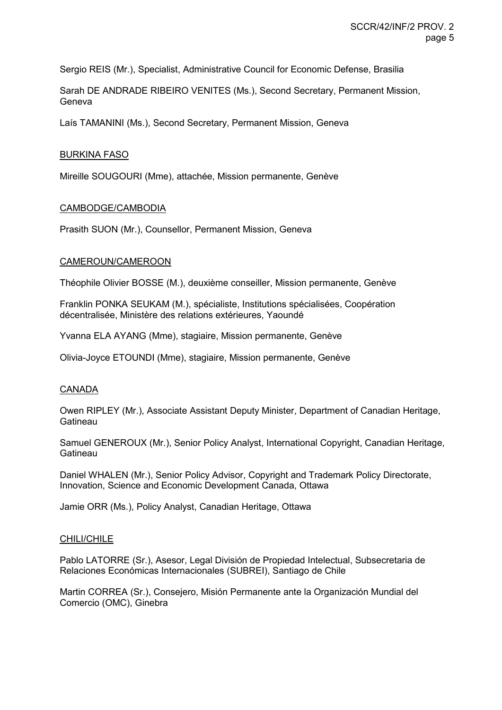Sergio REIS (Mr.), Specialist, Administrative Council for Economic Defense, Brasilia

Sarah DE ANDRADE RIBEIRO VENITES (Ms.), Second Secretary, Permanent Mission, Geneva

Laís TAMANINI (Ms.), Second Secretary, Permanent Mission, Geneva

#### BURKINA FASO

Mireille SOUGOURI (Mme), attachée, Mission permanente, Genève

#### CAMBODGE/CAMBODIA

Prasith SUON (Mr.), Counsellor, Permanent Mission, Geneva

#### CAMEROUN/CAMEROON

Théophile Olivier BOSSE (M.), deuxième conseiller, Mission permanente, Genève

Franklin PONKA SEUKAM (M.), spécialiste, Institutions spécialisées, Coopération décentralisée, Ministère des relations extérieures, Yaoundé

Yvanna ELA AYANG (Mme), stagiaire, Mission permanente, Genève

Olivia-Joyce ETOUNDI (Mme), stagiaire, Mission permanente, Genève

# **CANADA**

Owen RIPLEY (Mr.), Associate Assistant Deputy Minister, Department of Canadian Heritage, **Gatineau** 

Samuel GENEROUX (Mr.), Senior Policy Analyst, International Copyright, Canadian Heritage, **Gatineau** 

Daniel WHALEN (Mr.), Senior Policy Advisor, Copyright and Trademark Policy Directorate, Innovation, Science and Economic Development Canada, Ottawa

Jamie ORR (Ms.), Policy Analyst, Canadian Heritage, Ottawa

#### CHILI/CHILE

Pablo LATORRE (Sr.), Asesor, Legal División de Propiedad Intelectual, Subsecretaria de Relaciones Económicas Internacionales (SUBREI), Santiago de Chile

Martin CORREA (Sr.), Consejero, Misión Permanente ante la Organización Mundial del Comercio (OMC), Ginebra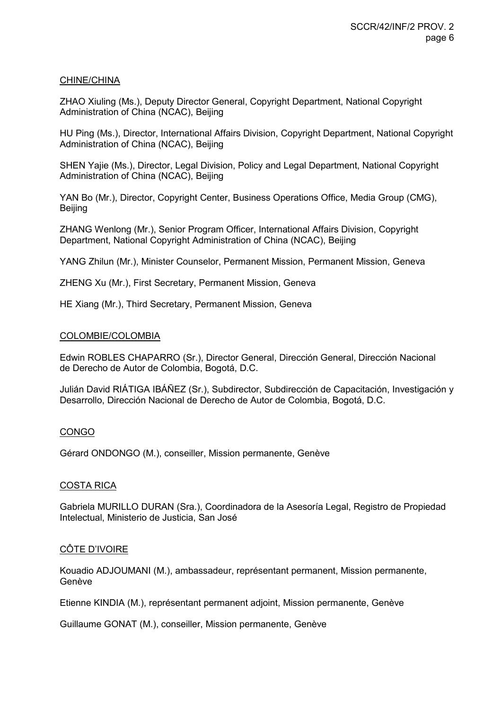# CHINE/CHINA

ZHAO Xiuling (Ms.), Deputy Director General, Copyright Department, National Copyright Administration of China (NCAC), Beijing

HU Ping (Ms.), Director, International Affairs Division, Copyright Department, National Copyright Administration of China (NCAC), Beijing

SHEN Yajie (Ms.), Director, Legal Division, Policy and Legal Department, National Copyright Administration of China (NCAC), Beijing

YAN Bo (Mr.), Director, Copyright Center, Business Operations Office, Media Group (CMG), Beijing

ZHANG Wenlong (Mr.), Senior Program Officer, International Affairs Division, Copyright Department, National Copyright Administration of China (NCAC), Beijing

YANG Zhilun (Mr.), Minister Counselor, Permanent Mission, Permanent Mission, Geneva

ZHENG Xu (Mr.), First Secretary, Permanent Mission, Geneva

HE Xiang (Mr.), Third Secretary, Permanent Mission, Geneva

#### COLOMBIE/COLOMBIA

Edwin ROBLES CHAPARRO (Sr.), Director General, Dirección General, Dirección Nacional de Derecho de Autor de Colombia, Bogotá, D.C.

Julián David RIÁTIGA IBÁÑEZ (Sr.), Subdirector, Subdirección de Capacitación, Investigación y Desarrollo, Dirección Nacional de Derecho de Autor de Colombia, Bogotá, D.C.

# CONGO

Gérard ONDONGO (M.), conseiller, Mission permanente, Genève

# COSTA RICA

Gabriela MURILLO DURAN (Sra.), Coordinadora de la Asesoría Legal, Registro de Propiedad Intelectual, Ministerio de Justicia, San José

# CÔTE D'IVOIRE

Kouadio ADJOUMANI (M.), ambassadeur, représentant permanent, Mission permanente, Genève

Etienne KINDIA (M.), représentant permanent adjoint, Mission permanente, Genève

Guillaume GONAT (M.), conseiller, Mission permanente, Genève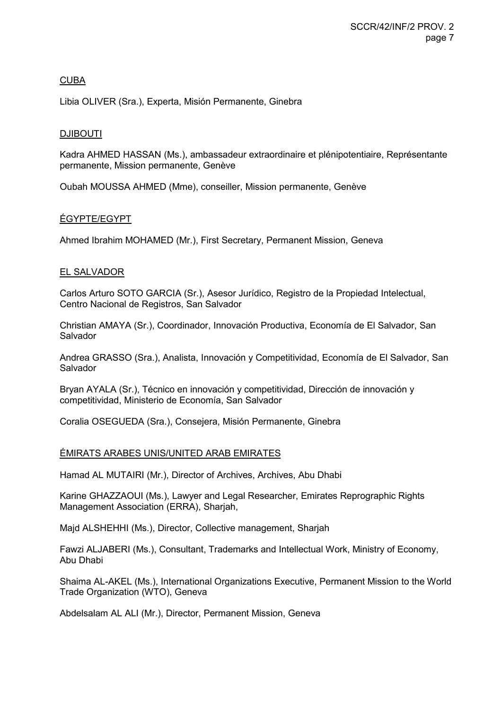# CUBA

Libia OLIVER (Sra.), Experta, Misión Permanente, Ginebra

# DJIBOUTI

Kadra AHMED HASSAN (Ms.), ambassadeur extraordinaire et plénipotentiaire, Représentante permanente, Mission permanente, Genève

Oubah MOUSSA AHMED (Mme), conseiller, Mission permanente, Genève

# ÉGYPTE/EGYPT

Ahmed Ibrahim MOHAMED (Mr.), First Secretary, Permanent Mission, Geneva

# EL SALVADOR

Carlos Arturo SOTO GARCIA (Sr.), Asesor Jurídico, Registro de la Propiedad Intelectual, Centro Nacional de Registros, San Salvador

Christian AMAYA (Sr.), Coordinador, Innovación Productiva, Economía de El Salvador, San Salvador

Andrea GRASSO (Sra.), Analista, Innovación y Competitividad, Economía de El Salvador, San Salvador

Bryan AYALA (Sr.), Técnico en innovación y competitividad, Dirección de innovación y competitividad, Ministerio de Economía, San Salvador

Coralia OSEGUEDA (Sra.), Consejera, Misión Permanente, Ginebra

# ÉMIRATS ARABES UNIS/UNITED ARAB EMIRATES

Hamad AL MUTAIRI (Mr.), Director of Archives, Archives, Abu Dhabi

Karine GHAZZAOUI (Ms.), Lawyer and Legal Researcher, Emirates Reprographic Rights Management Association (ERRA), Sharjah,

Majd ALSHEHHI (Ms.), Director, Collective management, Sharjah

Fawzi ALJABERI (Ms.), Consultant, Trademarks and Intellectual Work, Ministry of Economy, Abu Dhabi

Shaima AL-AKEL (Ms.), International Organizations Executive, Permanent Mission to the World Trade Organization (WTO), Geneva

Abdelsalam AL ALI (Mr.), Director, Permanent Mission, Geneva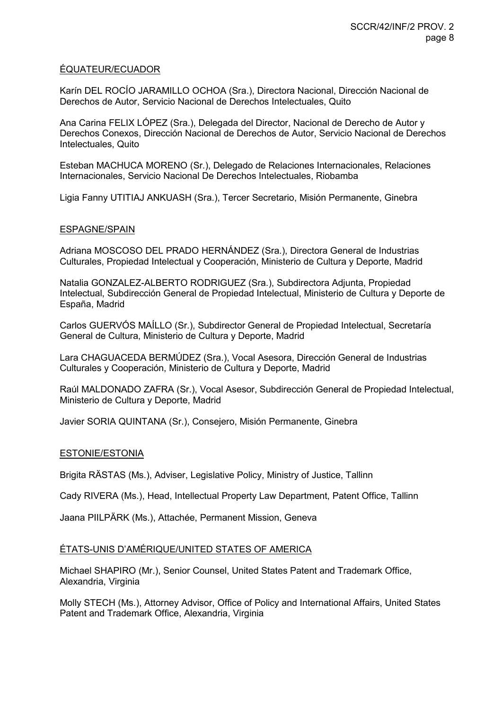# ÉQUATEUR/ECUADOR

Karín DEL ROCÍO JARAMILLO OCHOA (Sra.), Directora Nacional, Dirección Nacional de Derechos de Autor, Servicio Nacional de Derechos Intelectuales, Quito

Ana Carina FELIX LÓPEZ (Sra.), Delegada del Director, Nacional de Derecho de Autor y Derechos Conexos, Dirección Nacional de Derechos de Autor, Servicio Nacional de Derechos Intelectuales, Quito

Esteban MACHUCA MORENO (Sr.), Delegado de Relaciones Internacionales, Relaciones Internacionales, Servicio Nacional De Derechos Intelectuales, Riobamba

Ligia Fanny UTITIAJ ANKUASH (Sra.), Tercer Secretario, Misión Permanente, Ginebra

#### ESPAGNE/SPAIN

Adriana MOSCOSO DEL PRADO HERNÁNDEZ (Sra.), Directora General de Industrias Culturales, Propiedad Intelectual y Cooperación, Ministerio de Cultura y Deporte, Madrid

Natalia GONZALEZ-ALBERTO RODRIGUEZ (Sra.), Subdirectora Adjunta, Propiedad Intelectual, Subdirección General de Propiedad Intelectual, Ministerio de Cultura y Deporte de España, Madrid

Carlos GUERVÓS MAÍLLO (Sr.), Subdirector General de Propiedad Intelectual, Secretaría General de Cultura, Ministerio de Cultura y Deporte, Madrid

Lara CHAGUACEDA BERMÚDEZ (Sra.), Vocal Asesora, Dirección General de Industrias Culturales y Cooperación, Ministerio de Cultura y Deporte, Madrid

Raúl MALDONADO ZAFRA (Sr.), Vocal Asesor, Subdirección General de Propiedad Intelectual, Ministerio de Cultura y Deporte, Madrid

Javier SORIA QUINTANA (Sr.), Consejero, Misión Permanente, Ginebra

#### ESTONIE/ESTONIA

Brigita RÄSTAS (Ms.), Adviser, Legislative Policy, Ministry of Justice, Tallinn

Cady RIVERA (Ms.), Head, Intellectual Property Law Department, Patent Office, Tallinn

Jaana PIILPÄRK (Ms.), Attachée, Permanent Mission, Geneva

# ÉTATS-UNIS D'AMÉRIQUE/UNITED STATES OF AMERICA

Michael SHAPIRO (Mr.), Senior Counsel, United States Patent and Trademark Office, Alexandria, Virginia

Molly STECH (Ms.), Attorney Advisor, Office of Policy and International Affairs, United States Patent and Trademark Office, Alexandria, Virginia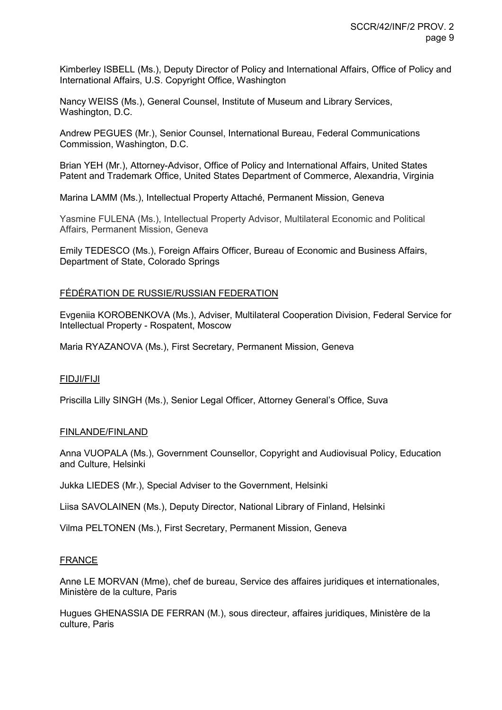Kimberley ISBELL (Ms.), Deputy Director of Policy and International Affairs, Office of Policy and International Affairs, U.S. Copyright Office, Washington

Nancy WEISS (Ms.), General Counsel, Institute of Museum and Library Services, Washington, D.C.

Andrew PEGUES (Mr.), Senior Counsel, International Bureau, Federal Communications Commission, Washington, D.C.

Brian YEH (Mr.), Attorney-Advisor, Office of Policy and International Affairs, United States Patent and Trademark Office, United States Department of Commerce, Alexandria, Virginia

Marina LAMM (Ms.), Intellectual Property Attaché, Permanent Mission, Geneva

Yasmine FULENA (Ms.), Intellectual Property Advisor, Multilateral Economic and Political Affairs, Permanent Mission, Geneva

Emily TEDESCO (Ms.), Foreign Affairs Officer, Bureau of Economic and Business Affairs, Department of State, Colorado Springs

#### FÉDÉRATION DE RUSSIE/RUSSIAN FEDERATION

Evgeniia KOROBENKOVA (Ms.), Adviser, Multilateral Cooperation Division, Federal Service for Intellectual Property - Rospatent, Moscow

Maria RYAZANOVA (Ms.), First Secretary, Permanent Mission, Geneva

#### FIDJI/FIJI

Priscilla Lilly SINGH (Ms.), Senior Legal Officer, Attorney General's Office, Suva

#### FINLANDE/FINLAND

Anna VUOPALA (Ms.), Government Counsellor, Copyright and Audiovisual Policy, Education and Culture, Helsinki

Jukka LIEDES (Mr.), Special Adviser to the Government, Helsinki

Liisa SAVOLAINEN (Ms.), Deputy Director, National Library of Finland, Helsinki

Vilma PELTONEN (Ms.), First Secretary, Permanent Mission, Geneva

#### FRANCE

Anne LE MORVAN (Mme), chef de bureau, Service des affaires juridiques et internationales, Ministère de la culture, Paris

Hugues GHENASSIA DE FERRAN (M.), sous directeur, affaires juridiques, Ministère de la culture, Paris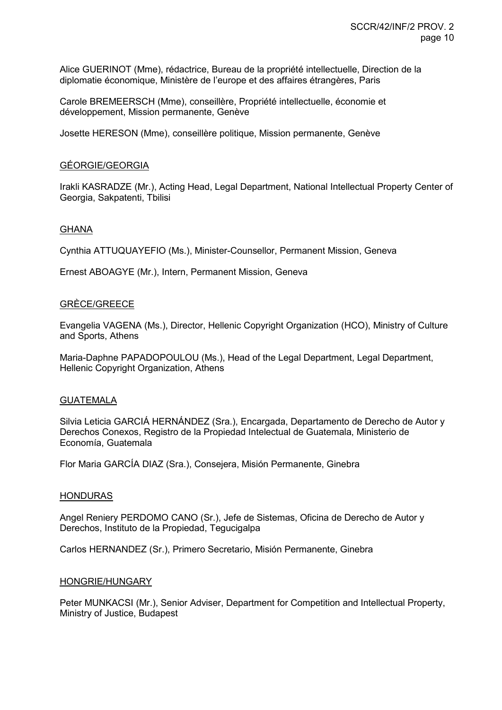Alice GUERINOT (Mme), rédactrice, Bureau de la propriété intellectuelle, Direction de la diplomatie économique, Ministère de l'europe et des affaires étrangères, Paris

Carole BREMEERSCH (Mme), conseillère, Propriété intellectuelle, économie et développement, Mission permanente, Genève

Josette HERESON (Mme), conseillère politique, Mission permanente, Genève

#### GÉORGIE/GEORGIA

Irakli KASRADZE (Mr.), Acting Head, Legal Department, National Intellectual Property Center of Georgia, Sakpatenti, Tbilisi

#### GHANA

Cynthia ATTUQUAYEFIO (Ms.), Minister-Counsellor, Permanent Mission, Geneva

Ernest ABOAGYE (Mr.), Intern, Permanent Mission, Geneva

#### GRÈCE/GREECE

Evangelia VAGENA (Ms.), Director, Hellenic Copyright Organization (HCO), Ministry of Culture and Sports, Athens

Maria-Daphne PAPADOPOULOU (Ms.), Head of the Legal Department, Legal Department, Hellenic Copyright Organization, Athens

#### GUATEMALA

Silvia Leticia GARCIÁ HERNÁNDEZ (Sra.), Encargada, Departamento de Derecho de Autor y Derechos Conexos, Registro de la Propiedad Intelectual de Guatemala, Ministerio de Economía, Guatemala

Flor Maria GARCÍA DIAZ (Sra.), Consejera, Misión Permanente, Ginebra

#### HONDURAS

Angel Reniery PERDOMO CANO (Sr.), Jefe de Sistemas, Oficina de Derecho de Autor y Derechos, Instituto de la Propiedad, Tegucigalpa

Carlos HERNANDEZ (Sr.), Primero Secretario, Misión Permanente, Ginebra

#### HONGRIE/HUNGARY

Peter MUNKACSI (Mr.), Senior Adviser, Department for Competition and Intellectual Property, Ministry of Justice, Budapest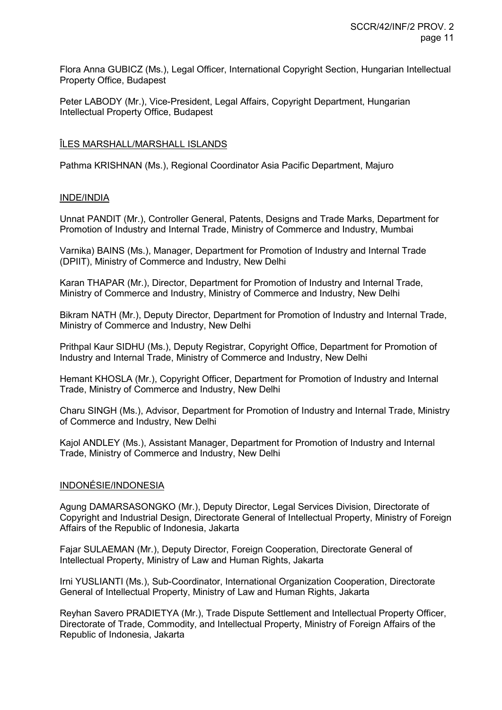Flora Anna GUBICZ (Ms.), Legal Officer, International Copyright Section, Hungarian Intellectual Property Office, Budapest

Peter LABODY (Mr.), Vice-President, Legal Affairs, Copyright Department, Hungarian Intellectual Property Office, Budapest

# ÎLES MARSHALL/MARSHALL ISLANDS

Pathma KRISHNAN (Ms.), Regional Coordinator Asia Pacific Department, Majuro

# INDE/INDIA

Unnat PANDIT (Mr.), Controller General, Patents, Designs and Trade Marks, Department for Promotion of Industry and Internal Trade, Ministry of Commerce and Industry, Mumbai

Varnika) BAINS (Ms.), Manager, Department for Promotion of Industry and Internal Trade (DPIIT), Ministry of Commerce and Industry, New Delhi

Karan THAPAR (Mr.), Director, Department for Promotion of Industry and Internal Trade, Ministry of Commerce and Industry, Ministry of Commerce and Industry, New Delhi

Bikram NATH (Mr.), Deputy Director, Department for Promotion of Industry and Internal Trade, Ministry of Commerce and Industry, New Delhi

Prithpal Kaur SIDHU (Ms.), Deputy Registrar, Copyright Office, Department for Promotion of Industry and Internal Trade, Ministry of Commerce and Industry, New Delhi

Hemant KHOSLA (Mr.), Copyright Officer, Department for Promotion of Industry and Internal Trade, Ministry of Commerce and Industry, New Delhi

Charu SINGH (Ms.), Advisor, Department for Promotion of Industry and Internal Trade, Ministry of Commerce and Industry, New Delhi

Kajol ANDLEY (Ms.), Assistant Manager, Department for Promotion of Industry and Internal Trade, Ministry of Commerce and Industry, New Delhi

# INDONÉSIE/INDONESIA

Agung DAMARSASONGKO (Mr.), Deputy Director, Legal Services Division, Directorate of Copyright and Industrial Design, Directorate General of Intellectual Property, Ministry of Foreign Affairs of the Republic of Indonesia, Jakarta

Fajar SULAEMAN (Mr.), Deputy Director, Foreign Cooperation, Directorate General of Intellectual Property, Ministry of Law and Human Rights, Jakarta

Irni YUSLIANTI (Ms.), Sub-Coordinator, International Organization Cooperation, Directorate General of Intellectual Property, Ministry of Law and Human Rights, Jakarta

Reyhan Savero PRADIETYA (Mr.), Trade Dispute Settlement and Intellectual Property Officer, Directorate of Trade, Commodity, and Intellectual Property, Ministry of Foreign Affairs of the Republic of Indonesia, Jakarta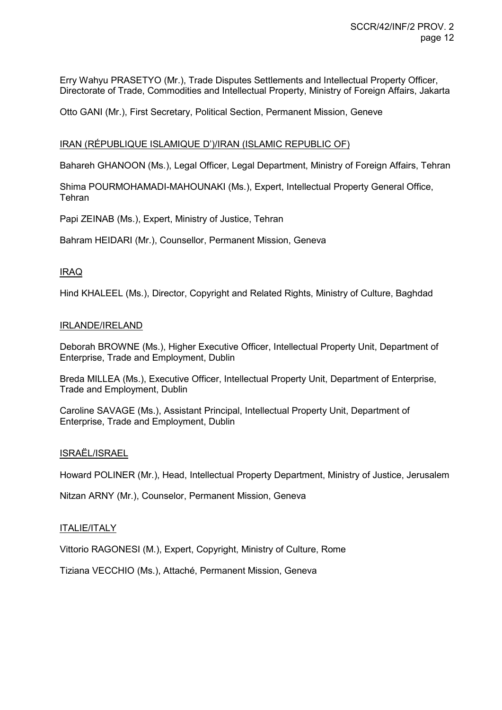Erry Wahyu PRASETYO (Mr.), Trade Disputes Settlements and Intellectual Property Officer, Directorate of Trade, Commodities and Intellectual Property, Ministry of Foreign Affairs, Jakarta

Otto GANI (Mr.), First Secretary, Political Section, Permanent Mission, Geneve

#### IRAN (RÉPUBLIQUE ISLAMIQUE D')/IRAN (ISLAMIC REPUBLIC OF)

Bahareh GHANOON (Ms.), Legal Officer, Legal Department, Ministry of Foreign Affairs, Tehran

Shima POURMOHAMADI-MAHOUNAKI (Ms.), Expert, Intellectual Property General Office, **Tehran** 

Papi ZEINAB (Ms.), Expert, Ministry of Justice, Tehran

Bahram HEIDARI (Mr.), Counsellor, Permanent Mission, Geneva

#### IRAQ

Hind KHALEEL (Ms.), Director, Copyright and Related Rights, Ministry of Culture, Baghdad

#### IRLANDE/IRELAND

Deborah BROWNE (Ms.), Higher Executive Officer, Intellectual Property Unit, Department of Enterprise, Trade and Employment, Dublin

Breda MILLEA (Ms.), Executive Officer, Intellectual Property Unit, Department of Enterprise, Trade and Employment, Dublin

Caroline SAVAGE (Ms.), Assistant Principal, Intellectual Property Unit, Department of Enterprise, Trade and Employment, Dublin

#### ISRAËL/ISRAEL

Howard POLINER (Mr.), Head, Intellectual Property Department, Ministry of Justice, Jerusalem

Nitzan ARNY (Mr.), Counselor, Permanent Mission, Geneva

#### **ITALIE/ITALY**

Vittorio RAGONESI (M.), Expert, Copyright, Ministry of Culture, Rome

Tiziana VECCHIO (Ms.), Attaché, Permanent Mission, Geneva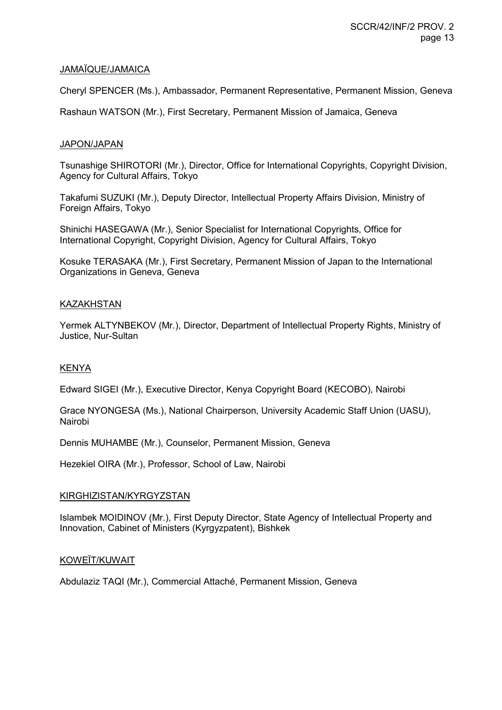# JAMAÏQUE/JAMAICA

Cheryl SPENCER (Ms.), Ambassador, Permanent Representative, Permanent Mission, Geneva

Rashaun WATSON (Mr.), First Secretary, Permanent Mission of Jamaica, Geneva

# JAPON/JAPAN

Tsunashige SHIROTORI (Mr.), Director, Office for International Copyrights, Copyright Division, Agency for Cultural Affairs, Tokyo

Takafumi SUZUKI (Mr.), Deputy Director, Intellectual Property Affairs Division, Ministry of Foreign Affairs, Tokyo

Shinichi HASEGAWA (Mr.), Senior Specialist for International Copyrights, Office for International Copyright, Copyright Division, Agency for Cultural Affairs, Tokyo

Kosuke TERASAKA (Mr.), First Secretary, Permanent Mission of Japan to the International Organizations in Geneva, Geneva

# KAZAKHSTAN

Yermek ALTYNBEKOV (Mr.), Director, Department of Intellectual Property Rights, Ministry of Justice, Nur-Sultan

# KENYA

Edward SIGEI (Mr.), Executive Director, Kenya Copyright Board (KECOBO), Nairobi

Grace NYONGESA (Ms.), National Chairperson, University Academic Staff Union (UASU), Nairobi

Dennis MUHAMBE (Mr.), Counselor, Permanent Mission, Geneva

Hezekiel OIRA (Mr.), Professor, School of Law, Nairobi

# KIRGHIZISTAN/KYRGYZSTAN

Islambek MOIDINOV (Mr.), First Deputy Director, State Agency of Intellectual Property and Innovation, Cabinet of Ministers (Kyrgyzpatent), Bishkek

# KOWEÏT/KUWAIT

Abdulaziz TAQI (Mr.), Commercial Attaché, Permanent Mission, Geneva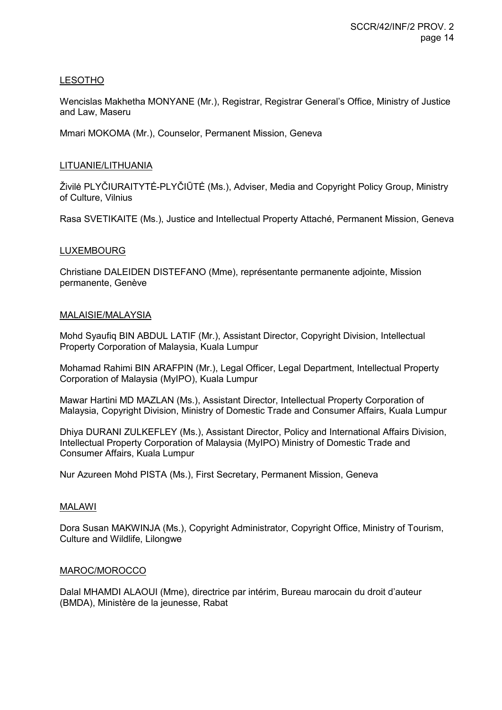# LESOTHO

Wencislas Makhetha MONYANE (Mr.), Registrar, Registrar General's Office, Ministry of Justice and Law, Maseru

Mmari MOKOMA (Mr.), Counselor, Permanent Mission, Geneva

# LITUANIE/LITHUANIA

Živilė PLYČIURAITYTĖ-PLYČIŪTĖ (Ms.), Adviser, Media and Copyright Policy Group, Ministry of Culture, Vilnius

Rasa SVETIKAITE (Ms.), Justice and Intellectual Property Attaché, Permanent Mission, Geneva

# LUXEMBOURG

Christiane DALEIDEN DISTEFANO (Mme), représentante permanente adjointe, Mission permanente, Genève

# MALAISIE/MALAYSIA

Mohd Syaufiq BIN ABDUL LATIF (Mr.), Assistant Director, Copyright Division, Intellectual Property Corporation of Malaysia, Kuala Lumpur

Mohamad Rahimi BIN ARAFPIN (Mr.), Legal Officer, Legal Department, Intellectual Property Corporation of Malaysia (MyIPO), Kuala Lumpur

Mawar Hartini MD MAZLAN (Ms.), Assistant Director, Intellectual Property Corporation of Malaysia, Copyright Division, Ministry of Domestic Trade and Consumer Affairs, Kuala Lumpur

Dhiya DURANI ZULKEFLEY (Ms.), Assistant Director, Policy and International Affairs Division, Intellectual Property Corporation of Malaysia (MyIPO) Ministry of Domestic Trade and Consumer Affairs, Kuala Lumpur

Nur Azureen Mohd PISTA (Ms.), First Secretary, Permanent Mission, Geneva

# MALAWI

Dora Susan MAKWINJA (Ms.), Copyright Administrator, Copyright Office, Ministry of Tourism, Culture and Wildlife, Lilongwe

# MAROC/MOROCCO

Dalal MHAMDI ALAOUI (Mme), directrice par intérim, Bureau marocain du droit d'auteur (BMDA), Ministère de la jeunesse, Rabat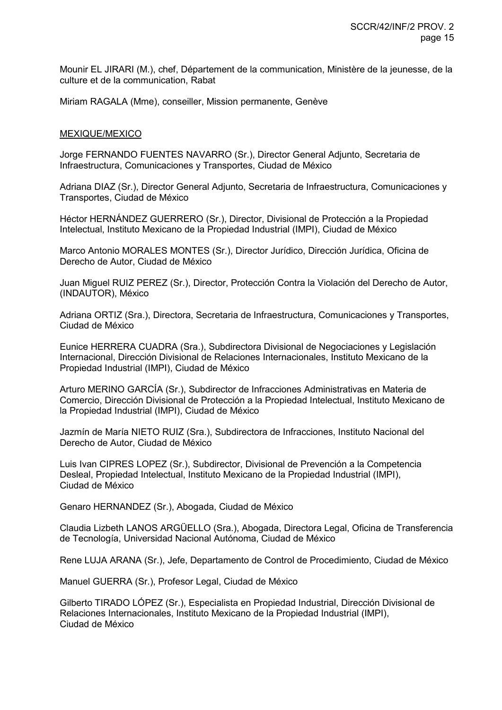Mounir EL JIRARI (M.), chef, Département de la communication, Ministère de la jeunesse, de la culture et de la communication, Rabat

Miriam RAGALA (Mme), conseiller, Mission permanente, Genève

#### MEXIQUE/MEXICO

Jorge FERNANDO FUENTES NAVARRO (Sr.), Director General Adjunto, Secretaria de Infraestructura, Comunicaciones y Transportes, Ciudad de México

Adriana DIAZ (Sr.), Director General Adjunto, Secretaria de Infraestructura, Comunicaciones y Transportes, Ciudad de México

Héctor HERNÁNDEZ GUERRERO (Sr.), Director, Divisional de Protección a la Propiedad Intelectual, Instituto Mexicano de la Propiedad Industrial (IMPI), Ciudad de México

Marco Antonio MORALES MONTES (Sr.), Director Jurídico, Dirección Jurídica, Oficina de Derecho de Autor, Ciudad de México

Juan Miguel RUIZ PEREZ (Sr.), Director, Protección Contra la Violación del Derecho de Autor, (INDAUTOR), México

Adriana ORTIZ (Sra.), Directora, Secretaria de Infraestructura, Comunicaciones y Transportes, Ciudad de México

Eunice HERRERA CUADRA (Sra.), Subdirectora Divisional de Negociaciones y Legislación Internacional, Dirección Divisional de Relaciones Internacionales, Instituto Mexicano de la Propiedad Industrial (IMPI), Ciudad de México

Arturo MERINO GARCÍA (Sr.), Subdirector de Infracciones Administrativas en Materia de Comercio, Dirección Divisional de Protección a la Propiedad Intelectual, Instituto Mexicano de la Propiedad Industrial (IMPI), Ciudad de México

Jazmín de María NIETO RUIZ (Sra.), Subdirectora de Infracciones, Instituto Nacional del Derecho de Autor, Ciudad de México

Luis Ivan CIPRES LOPEZ (Sr.), Subdirector, Divisional de Prevención a la Competencia Desleal, Propiedad Intelectual, Instituto Mexicano de la Propiedad Industrial (IMPI), Ciudad de México

Genaro HERNANDEZ (Sr.), Abogada, Ciudad de México

Claudia Lizbeth LANOS ARGÜELLO (Sra.), Abogada, Directora Legal, Oficina de Transferencia de Tecnología, Universidad Nacional Autónoma, Ciudad de México

Rene LUJA ARANA (Sr.), Jefe, Departamento de Control de Procedimiento, Ciudad de México

Manuel GUERRA (Sr.), Profesor Legal, Ciudad de México

Gilberto TIRADO LÓPEZ (Sr.), Especialista en Propiedad Industrial, Dirección Divisional de Relaciones Internacionales, Instituto Mexicano de la Propiedad Industrial (IMPI), Ciudad de México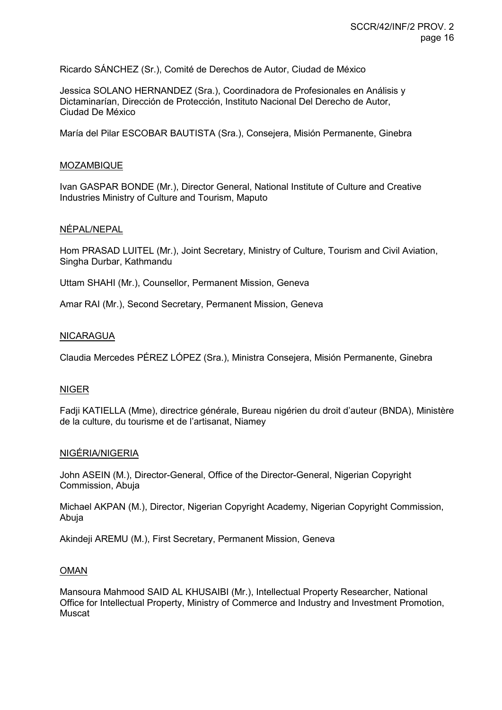Ricardo SÁNCHEZ (Sr.), Comité de Derechos de Autor, Ciudad de México

Jessica SOLANO HERNANDEZ (Sra.), Coordinadora de Profesionales en Análisis y Dictaminarían, Dirección de Protección, Instituto Nacional Del Derecho de Autor, Ciudad De México

María del Pilar ESCOBAR BAUTISTA (Sra.), Consejera, Misión Permanente, Ginebra

#### MOZAMBIQUE

Ivan GASPAR BONDE (Mr.), Director General, National Institute of Culture and Creative Industries Ministry of Culture and Tourism, Maputo

#### NÉPAL/NEPAL

Hom PRASAD LUITEL (Mr.), Joint Secretary, Ministry of Culture, Tourism and Civil Aviation, Singha Durbar, Kathmandu

Uttam SHAHI (Mr.), Counsellor, Permanent Mission, Geneva

Amar RAI (Mr.), Second Secretary, Permanent Mission, Geneva

#### NICARAGUA

Claudia Mercedes PÉREZ LÓPEZ (Sra.), Ministra Consejera, Misión Permanente, Ginebra

# NIGER

Fadji KATIELLA (Mme), directrice générale, Bureau nigérien du droit d'auteur (BNDA), Ministère de la culture, du tourisme et de l'artisanat, Niamey

#### NIGÉRIA/NIGERIA

John ASEIN (M.), Director-General, Office of the Director-General, Nigerian Copyright Commission, Abuja

Michael AKPAN (M.), Director, Nigerian Copyright Academy, Nigerian Copyright Commission, Abuja

Akindeji AREMU (M.), First Secretary, Permanent Mission, Geneva

#### OMAN

Mansoura Mahmood SAID AL KHUSAIBI (Mr.), Intellectual Property Researcher, National Office for Intellectual Property, Ministry of Commerce and Industry and Investment Promotion, Muscat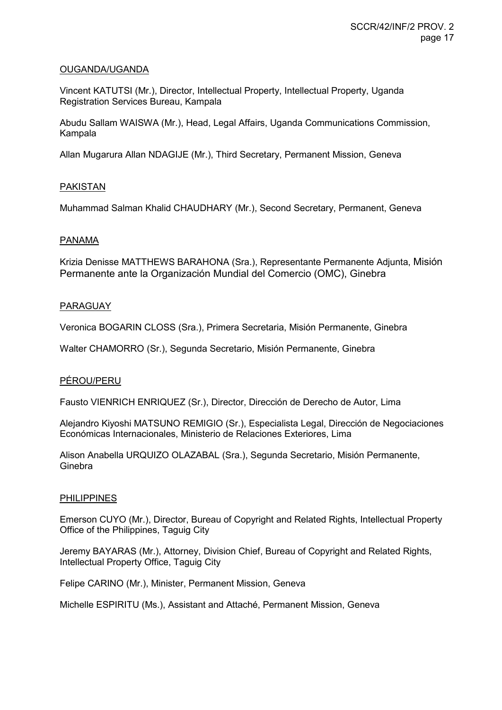# OUGANDA/UGANDA

Vincent KATUTSI (Mr.), Director, Intellectual Property, Intellectual Property, Uganda Registration Services Bureau, Kampala

Abudu Sallam WAISWA (Mr.), Head, Legal Affairs, Uganda Communications Commission, Kampala

Allan Mugarura Allan NDAGIJE (Mr.), Third Secretary, Permanent Mission, Geneva

# PAKISTAN

Muhammad Salman Khalid CHAUDHARY (Mr.), Second Secretary, Permanent, Geneva

#### PANAMA

Krizia Denisse MATTHEWS BARAHONA (Sra.), Representante Permanente Adjunta, Misión Permanente ante la Organización Mundial del Comercio (OMC), Ginebra

#### PARAGUAY

Veronica BOGARIN CLOSS (Sra.), Primera Secretaria, Misión Permanente, Ginebra

Walter CHAMORRO (Sr.), Segunda Secretario, Misión Permanente, Ginebra

# PÉROU/PERU

Fausto VIENRICH ENRIQUEZ (Sr.), Director, Dirección de Derecho de Autor, Lima

Alejandro Kiyoshi MATSUNO REMIGIO (Sr.), Especialista Legal, Dirección de Negociaciones Económicas Internacionales, Ministerio de Relaciones Exteriores, Lima

Alison Anabella URQUIZO OLAZABAL (Sra.), Segunda Secretario, Misión Permanente, **Ginebra** 

#### PHILIPPINES

Emerson CUYO (Mr.), Director, Bureau of Copyright and Related Rights, Intellectual Property Office of the Philippines, Taguig City

Jeremy BAYARAS (Mr.), Attorney, Division Chief, Bureau of Copyright and Related Rights, Intellectual Property Office, Taguig City

Felipe CARINO (Mr.), Minister, Permanent Mission, Geneva

Michelle ESPIRITU (Ms.), Assistant and Attaché, Permanent Mission, Geneva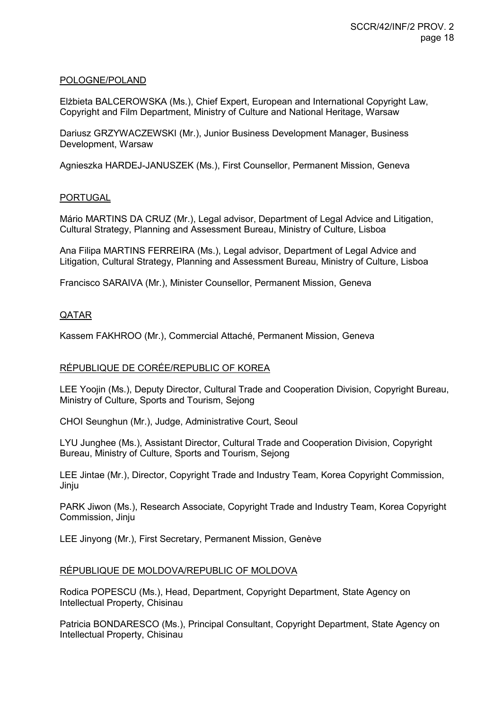#### POLOGNE/POLAND

Elżbieta BALCEROWSKA (Ms.), Chief Expert, European and International Copyright Law, Copyright and Film Department, Ministry of Culture and National Heritage, Warsaw

Dariusz GRZYWACZEWSKI (Mr.), Junior Business Development Manager, Business Development, Warsaw

Agnieszka HARDEJ-JANUSZEK (Ms.), First Counsellor, Permanent Mission, Geneva

#### PORTUGAL

Mário MARTINS DA CRUZ (Mr.), Legal advisor, Department of Legal Advice and Litigation, Cultural Strategy, Planning and Assessment Bureau, Ministry of Culture, Lisboa

Ana Filipa MARTINS FERREIRA (Ms.), Legal advisor, Department of Legal Advice and Litigation, Cultural Strategy, Planning and Assessment Bureau, Ministry of Culture, Lisboa

Francisco SARAIVA (Mr.), Minister Counsellor, Permanent Mission, Geneva

# QATAR

Kassem FAKHROO (Mr.), Commercial Attaché, Permanent Mission, Geneva

# RÉPUBLIQUE DE CORÉE/REPUBLIC OF KOREA

LEE Yoojin (Ms.), Deputy Director, Cultural Trade and Cooperation Division, Copyright Bureau, Ministry of Culture, Sports and Tourism, Sejong

CHOI Seunghun (Mr.), Judge, Administrative Court, Seoul

LYU Junghee (Ms.), Assistant Director, Cultural Trade and Cooperation Division, Copyright Bureau, Ministry of Culture, Sports and Tourism, Sejong

LEE Jintae (Mr.), Director, Copyright Trade and Industry Team, Korea Copyright Commission, Jinju

PARK Jiwon (Ms.), Research Associate, Copyright Trade and Industry Team, Korea Copyright Commission, Jinju

LEE Jinyong (Mr.), First Secretary, Permanent Mission, Genève

#### RÉPUBLIQUE DE MOLDOVA/REPUBLIC OF MOLDOVA

Rodica POPESCU (Ms.), Head, Department, Copyright Department, State Agency on Intellectual Property, Chisinau

Patricia BONDARESCO (Ms.), Principal Consultant, Copyright Department, State Agency on Intellectual Property, Chisinau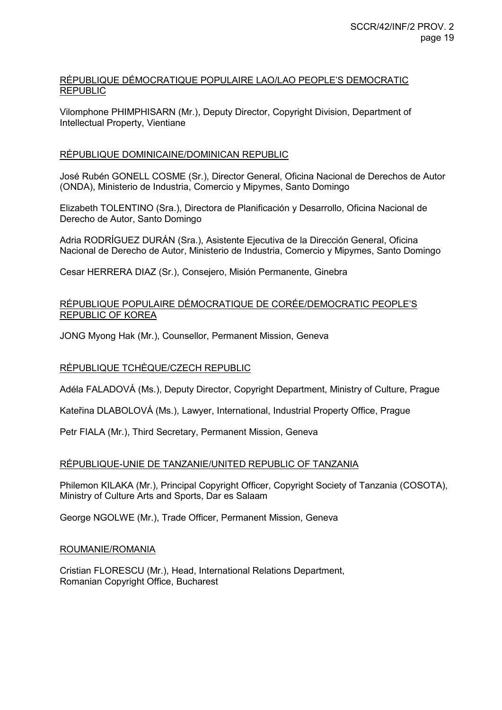# RÉPUBLIQUE DÉMOCRATIQUE POPULAIRE LAO/LAO PEOPLE'S DEMOCRATIC REPUBLIC

Vilomphone PHIMPHISARN (Mr.), Deputy Director, Copyright Division, Department of Intellectual Property, Vientiane

# RÉPUBLIQUE DOMINICAINE/DOMINICAN REPUBLIC

José Rubén GONELL COSME (Sr.), Director General, Oficina Nacional de Derechos de Autor (ONDA), Ministerio de Industria, Comercio y Mipymes, Santo Domingo

Elizabeth TOLENTINO (Sra.), Directora de Planificación y Desarrollo, Oficina Nacional de Derecho de Autor, Santo Domingo

Adria RODRÍGUEZ DURÁN (Sra.), Asistente Ejecutiva de la Dirección General, Oficina Nacional de Derecho de Autor, Ministerio de Industria, Comercio y Mipymes, Santo Domingo

Cesar HERRERA DIAZ (Sr.), Consejero, Misión Permanente, Ginebra

# RÉPUBLIQUE POPULAIRE DÉMOCRATIQUE DE CORÉE/DEMOCRATIC PEOPLE'S REPUBLIC OF KOREA

JONG Myong Hak (Mr.), Counsellor, Permanent Mission, Geneva

# RÉPUBLIQUE TCHÈQUE/CZECH REPUBLIC

Adéla FALADOVÁ (Ms.), Deputy Director, Copyright Department, Ministry of Culture, Prague

Kateřina DLABOLOVÁ (Ms.), Lawyer, International, Industrial Property Office, Prague

Petr FIALA (Mr.), Third Secretary, Permanent Mission, Geneva

# RÉPUBLIQUE-UNIE DE TANZANIE/UNITED REPUBLIC OF TANZANIA

Philemon KILAKA (Mr.), Principal Copyright Officer, Copyright Society of Tanzania (COSOTA), Ministry of Culture Arts and Sports, Dar es Salaam

George NGOLWE (Mr.), Trade Officer, Permanent Mission, Geneva

#### ROUMANIE/ROMANIA

Cristian FLORESCU (Mr.), Head, International Relations Department, Romanian Copyright Office, Bucharest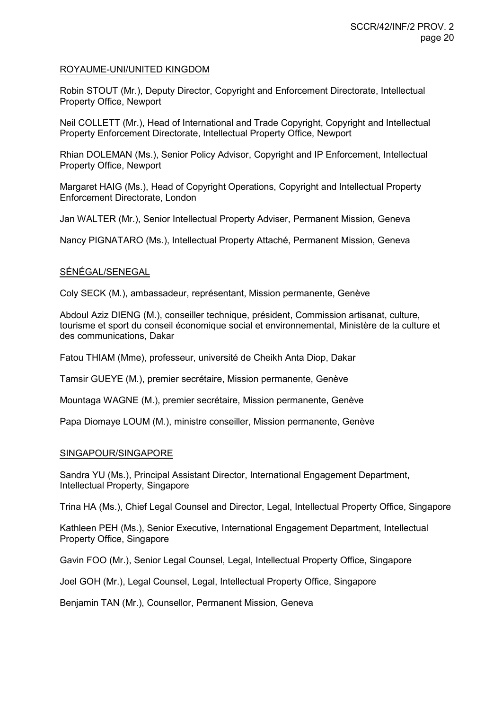#### ROYAUME-UNI/UNITED KINGDOM

Robin STOUT (Mr.), Deputy Director, Copyright and Enforcement Directorate, Intellectual Property Office, Newport

Neil COLLETT (Mr.), Head of International and Trade Copyright, Copyright and Intellectual Property Enforcement Directorate, Intellectual Property Office, Newport

Rhian DOLEMAN (Ms.), Senior Policy Advisor, Copyright and IP Enforcement, Intellectual Property Office, Newport

Margaret HAIG (Ms.), Head of Copyright Operations, Copyright and Intellectual Property Enforcement Directorate, London

Jan WALTER (Mr.), Senior Intellectual Property Adviser, Permanent Mission, Geneva

Nancy PIGNATARO (Ms.), Intellectual Property Attaché, Permanent Mission, Geneva

#### SÉNÉGAL/SENEGAL

Coly SECK (M.), ambassadeur, représentant, Mission permanente, Genève

Abdoul Aziz DIENG (M.), conseiller technique, président, Commission artisanat, culture, tourisme et sport du conseil économique social et environnemental, Ministère de la culture et des communications, Dakar

Fatou THIAM (Mme), professeur, université de Cheikh Anta Diop, Dakar

Tamsir GUEYE (M.), premier secrétaire, Mission permanente, Genève

Mountaga WAGNE (M.), premier secrétaire, Mission permanente, Genève

Papa Diomaye LOUM (M.), ministre conseiller, Mission permanente, Genève

#### SINGAPOUR/SINGAPORE

Sandra YU (Ms.), Principal Assistant Director, International Engagement Department, Intellectual Property, Singapore

Trina HA (Ms.), Chief Legal Counsel and Director, Legal, Intellectual Property Office, Singapore

Kathleen PEH (Ms.), Senior Executive, International Engagement Department, Intellectual Property Office, Singapore

Gavin FOO (Mr.), Senior Legal Counsel, Legal, Intellectual Property Office, Singapore

Joel GOH (Mr.), Legal Counsel, Legal, Intellectual Property Office, Singapore

Benjamin TAN (Mr.), Counsellor, Permanent Mission, Geneva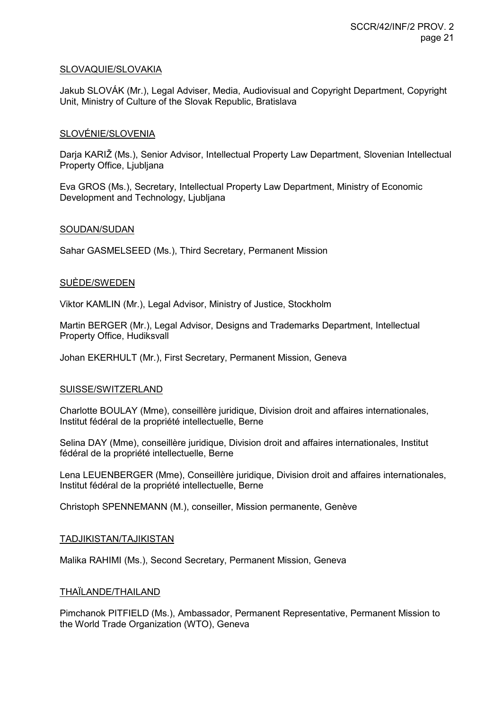# SLOVAQUIE/SLOVAKIA

Jakub SLOVÁK (Mr.), Legal Adviser, Media, Audiovisual and Copyright Department, Copyright Unit, Ministry of Culture of the Slovak Republic, Bratislava

# SLOVÉNIE/SLOVENIA

Darja KARIŽ (Ms.), Senior Advisor, Intellectual Property Law Department, Slovenian Intellectual Property Office, Ljubljana

Eva GROS (Ms.), Secretary, Intellectual Property Law Department, Ministry of Economic Development and Technology, Ljubljana

# SOUDAN/SUDAN

Sahar GASMELSEED (Ms.), Third Secretary, Permanent Mission

#### SUÈDE/SWEDEN

Viktor KAMLIN (Mr.), Legal Advisor, Ministry of Justice, Stockholm

Martin BERGER (Mr.), Legal Advisor, Designs and Trademarks Department, Intellectual Property Office, Hudiksvall

Johan EKERHULT (Mr.), First Secretary, Permanent Mission, Geneva

# SUISSE/SWITZERLAND

Charlotte BOULAY (Mme), conseillère juridique, Division droit and affaires internationales, Institut fédéral de la propriété intellectuelle, Berne

Selina DAY (Mme), conseillère juridique, Division droit and affaires internationales, Institut fédéral de la propriété intellectuelle, Berne

Lena LEUENBERGER (Mme), Conseillère juridique, Division droit and affaires internationales, Institut fédéral de la propriété intellectuelle, Berne

Christoph SPENNEMANN (M.), conseiller, Mission permanente, Genève

# TADJIKISTAN/TAJIKISTAN

Malika RAHIMI (Ms.), Second Secretary, Permanent Mission, Geneva

#### THAÏLANDE/THAILAND

Pimchanok PITFIELD (Ms.), Ambassador, Permanent Representative, Permanent Mission to the World Trade Organization (WTO), Geneva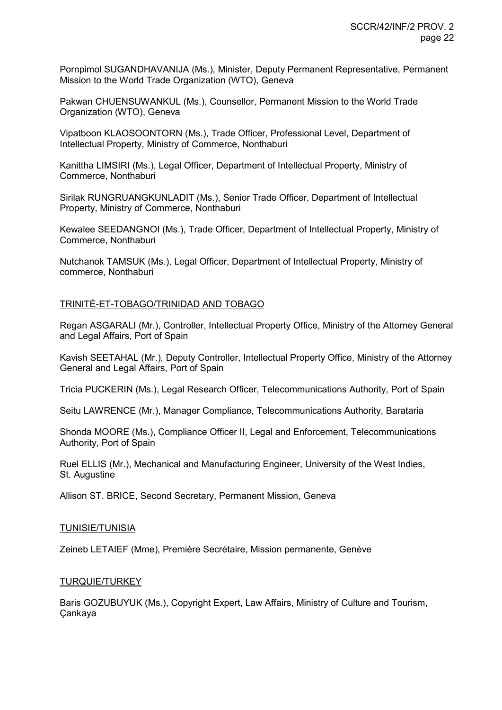Pornpimol SUGANDHAVANIJA (Ms.), Minister, Deputy Permanent Representative, Permanent Mission to the World Trade Organization (WTO), Geneva

Pakwan CHUENSUWANKUL (Ms.), Counsellor, Permanent Mission to the World Trade Organization (WTO), Geneva

Vipatboon KLAOSOONTORN (Ms.), Trade Officer, Professional Level, Department of Intellectual Property, Ministry of Commerce, Nonthaburi

Kanittha LIMSIRI (Ms.), Legal Officer, Department of Intellectual Property, Ministry of Commerce, Nonthaburi

Sirilak RUNGRUANGKUNLADIT (Ms.), Senior Trade Officer, Department of Intellectual Property, Ministry of Commerce, Nonthaburi

Kewalee SEEDANGNOI (Ms.), Trade Officer, Department of Intellectual Property, Ministry of Commerce, Nonthaburi

Nutchanok TAMSUK (Ms.), Legal Officer, Department of Intellectual Property, Ministry of commerce, Nonthaburi

#### TRINITÉ-ET-TOBAGO/TRINIDAD AND TOBAGO

Regan ASGARALI (Mr.), Controller, Intellectual Property Office, Ministry of the Attorney General and Legal Affairs, Port of Spain

Kavish SEETAHAL (Mr.), Deputy Controller, Intellectual Property Office, Ministry of the Attorney General and Legal Affairs, Port of Spain

Tricia PUCKERIN (Ms.), Legal Research Officer, Telecommunications Authority, Port of Spain

Seitu LAWRENCE (Mr.), Manager Compliance, Telecommunications Authority, Barataria

Shonda MOORE (Ms.), Compliance Officer II, Legal and Enforcement, Telecommunications Authority, Port of Spain

Ruel ELLIS (Mr.), Mechanical and Manufacturing Engineer, University of the West Indies, St. Augustine

Allison ST. BRICE, Second Secretary, Permanent Mission, Geneva

#### TUNISIE/TUNISIA

Zeineb LETAIEF (Mme), Première Secrétaire, Mission permanente, Genève

# TURQUIE/TURKEY

Baris GOZUBUYUK (Ms.), Copyright Expert, Law Affairs, Ministry of Culture and Tourism, Çankaya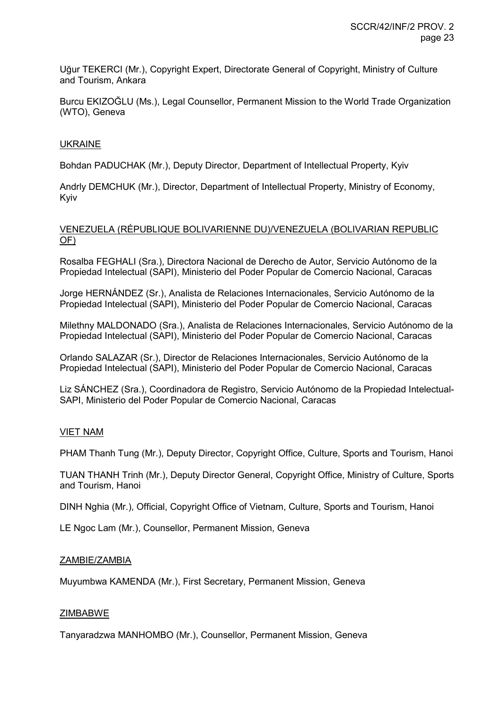Uğur TEKERCI (Mr.), Copyright Expert, Directorate General of Copyright, Ministry of Culture and Tourism, Ankara

Burcu EKIZOĞLU (Ms.), Legal Counsellor, Permanent Mission to the World Trade Organization (WTO), Geneva

#### UKRAINE

Bohdan PADUCHAK (Mr.), Deputy Director, Department of Intellectual Property, Kyiv

Andrly DEMCHUK (Mr.), Director, Department of Intellectual Property, Ministry of Economy, Kyiv

# VENEZUELA (RÉPUBLIQUE BOLIVARIENNE DU)/VENEZUELA (BOLIVARIAN REPUBLIC OF)

Rosalba FEGHALI (Sra.), Directora Nacional de Derecho de Autor, Servicio Autónomo de la Propiedad Intelectual (SAPI), Ministerio del Poder Popular de Comercio Nacional, Caracas

Jorge HERNÁNDEZ (Sr.), Analista de Relaciones Internacionales, Servicio Autónomo de la Propiedad Intelectual (SAPI), Ministerio del Poder Popular de Comercio Nacional, Caracas

Milethny MALDONADO (Sra.), Analista de Relaciones Internacionales, Servicio Autónomo de la Propiedad Intelectual (SAPI), Ministerio del Poder Popular de Comercio Nacional, Caracas

Orlando SALAZAR (Sr.), Director de Relaciones Internacionales, Servicio Autónomo de la Propiedad Intelectual (SAPI), Ministerio del Poder Popular de Comercio Nacional, Caracas

Liz SÁNCHEZ (Sra.), Coordinadora de Registro, Servicio Autónomo de la Propiedad Intelectual-SAPI, Ministerio del Poder Popular de Comercio Nacional, Caracas

# VIET NAM

PHAM Thanh Tung (Mr.), Deputy Director, Copyright Office, Culture, Sports and Tourism, Hanoi

TUAN THANH Trinh (Mr.), Deputy Director General, Copyright Office, Ministry of Culture, Sports and Tourism, Hanoi

DINH Nghia (Mr.), Official, Copyright Office of Vietnam, Culture, Sports and Tourism, Hanoi

LE Ngoc Lam (Mr.), Counsellor, Permanent Mission, Geneva

#### ZAMBIE/ZAMBIA

Muyumbwa KAMENDA (Mr.), First Secretary, Permanent Mission, Geneva

#### ZIMBABWE

Tanyaradzwa MANHOMBO (Mr.), Counsellor, Permanent Mission, Geneva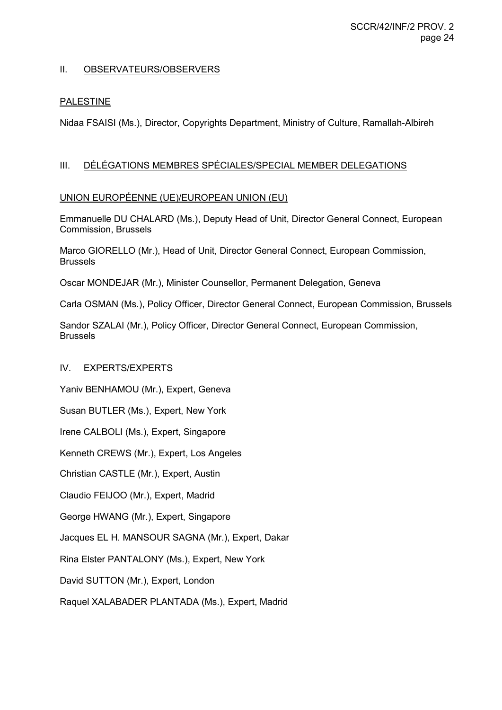# II. OBSERVATEURS/OBSERVERS

# PALESTINE

Nidaa FSAISI (Ms.), Director, Copyrights Department, Ministry of Culture, Ramallah-Albireh

# III. DÉLÉGATIONS MEMBRES SPÉCIALES/SPECIAL MEMBER DELEGATIONS

# UNION EUROPÉENNE (UE)/EUROPEAN UNION (EU)

Emmanuelle DU CHALARD (Ms.), Deputy Head of Unit, Director General Connect, European Commission, Brussels

Marco GIORELLO (Mr.), Head of Unit, Director General Connect, European Commission, Brussels

Oscar MONDEJAR (Mr.), Minister Counsellor, Permanent Delegation, Geneva

Carla OSMAN (Ms.), Policy Officer, Director General Connect, European Commission, Brussels

Sandor SZALAI (Mr.), Policy Officer, Director General Connect, European Commission, Brussels

# IV. EXPERTS/EXPERTS

Yaniv BENHAMOU (Mr.), Expert, Geneva

Susan BUTLER (Ms.), Expert, New York

Irene CALBOLI (Ms.), Expert, Singapore

Kenneth CREWS (Mr.), Expert, Los Angeles

Christian CASTLE (Mr.), Expert, Austin

Claudio FEIJOO (Mr.), Expert, Madrid

George HWANG (Mr.), Expert, Singapore

Jacques EL H. MANSOUR SAGNA (Mr.), Expert, Dakar

Rina Elster PANTALONY (Ms.), Expert, New York

David SUTTON (Mr.), Expert, London

Raquel XALABADER PLANTADA (Ms.), Expert, Madrid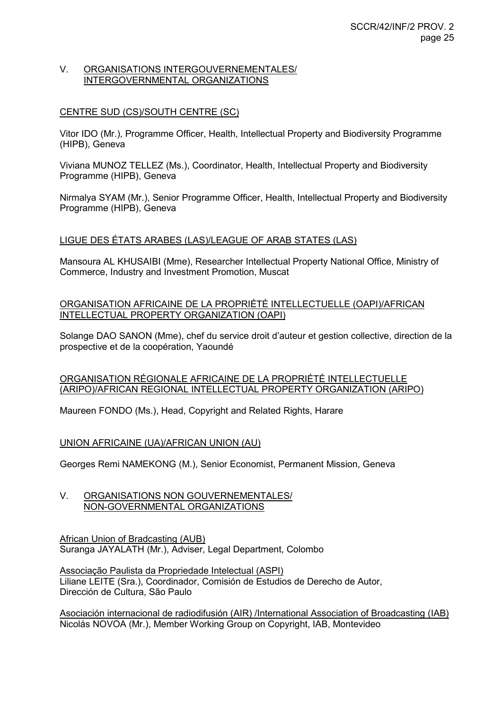#### V. ORGANISATIONS INTERGOUVERNEMENTALES/ INTERGOVERNMENTAL ORGANIZATIONS

# CENTRE SUD (CS)/SOUTH CENTRE (SC)

Vitor IDO (Mr.), Programme Officer, Health, Intellectual Property and Biodiversity Programme (HIPB), Geneva

Viviana MUNOZ TELLEZ (Ms.), Coordinator, Health, Intellectual Property and Biodiversity Programme (HIPB), Geneva

Nirmalya SYAM (Mr.), Senior Programme Officer, Health, Intellectual Property and Biodiversity Programme (HIPB), Geneva

# LIGUE DES ÉTATS ARABES (LAS)/LEAGUE OF ARAB STATES (LAS)

Mansoura AL KHUSAIBI (Mme), Researcher Intellectual Property National Office, Ministry of Commerce, Industry and Investment Promotion, Muscat

# ORGANISATION AFRICAINE DE LA PROPRIÉTÉ INTELLECTUELLE (OAPI)/AFRICAN INTELLECTUAL PROPERTY ORGANIZATION (OAPI)

Solange DAO SANON (Mme), chef du service droit d'auteur et gestion collective, direction de la prospective et de la coopération, Yaoundé

# ORGANISATION RÉGIONALE AFRICAINE DE LA PROPRIÉTÉ INTELLECTUELLE (ARIPO)/AFRICAN REGIONAL INTELLECTUAL PROPERTY ORGANIZATION (ARIPO)

Maureen FONDO (Ms.), Head, Copyright and Related Rights, Harare

#### UNION AFRICAINE (UA)/AFRICAN UNION (AU)

Georges Remi NAMEKONG (M.), Senior Economist, Permanent Mission, Geneva

# V. ORGANISATIONS NON GOUVERNEMENTALES/ NON-GOVERNMENTAL ORGANIZATIONS

African Union of Bradcasting (AUB) Suranga JAYALATH (Mr.), Adviser, Legal Department, Colombo

Associação Paulista da Propriedade Intelectual (ASPI) Liliane LEITE (Sra.), Coordinador, Comisión de Estudios de Derecho de Autor, Dirección de Cultura, São Paulo

Asociación internacional de radiodifusión (AIR) /International Association of Broadcasting (IAB) Nicolás NOVOA (Mr.), Member Working Group on Copyright, IAB, Montevideo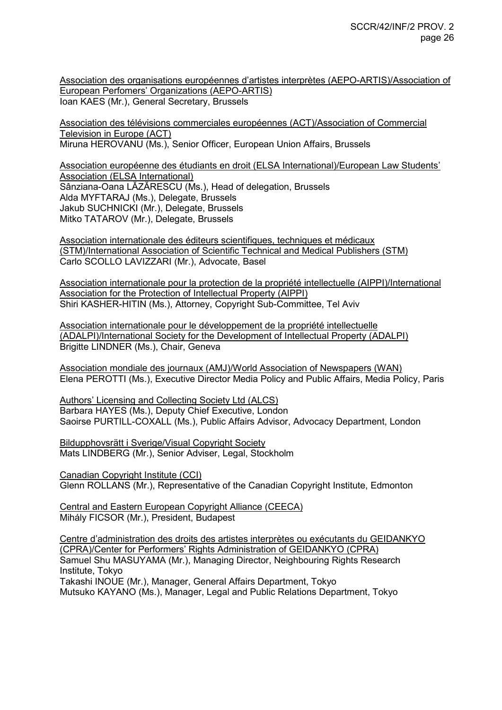Association des organisations européennes d'artistes interprètes (AEPO-ARTIS)/Association of European Perfomers' Organizations (AEPO-ARTIS) Ioan KAES (Mr.), General Secretary, Brussels

Association des télévisions commerciales européennes (ACT)/Association of Commercial Television in Europe (ACT) Miruna HEROVANU (Ms.), Senior Officer, European Union Affairs, Brussels

Association européenne des étudiants en droit (ELSA International)/European Law Students' Association (ELSA International) Sânziana-Oana LĂZĂRESCU (Ms.), Head of delegation, Brussels Alda MYFTARAJ (Ms.), Delegate, Brussels Jakub SUCHNICKI (Mr.), Delegate, Brussels Mitko TATAROV (Mr.), Delegate, Brussels

Association internationale des éditeurs scientifiques, techniques et médicaux (STM)/International Association of Scientific Technical and Medical Publishers (STM) Carlo SCOLLO LAVIZZARI (Mr.), Advocate, Basel

Association internationale pour la protection de la propriété intellectuelle (AIPPI)/International Association for the Protection of Intellectual Property (AIPPI) Shiri KASHER-HITIN (Ms.), Attorney, Copyright Sub-Committee, Tel Aviv

Association internationale pour le développement de la propriété intellectuelle (ADALPI)/International Society for the Development of Intellectual Property (ADALPI) Brigitte LINDNER (Ms.), Chair, Geneva

Association mondiale des journaux (AMJ)/World Association of Newspapers (WAN) Elena PEROTTI (Ms.), Executive Director Media Policy and Public Affairs, Media Policy, Paris

Authors' Licensing and Collecting Society Ltd (ALCS) Barbara HAYES (Ms.), Deputy Chief Executive, London Saoirse PURTILL-COXALL (Ms.), Public Affairs Advisor, Advocacy Department, London

Bildupphovsrätt i Sverige/Visual Copyright Society Mats LINDBERG (Mr.), Senior Adviser, Legal, Stockholm

Canadian Copyright Institute (CCI) Glenn ROLLANS (Mr.), Representative of the Canadian Copyright Institute, Edmonton

Central and Eastern European Copyright Alliance (CEECA) Mihály FICSOR (Mr.), President, Budapest

Centre d'administration des droits des artistes interprètes ou exécutants du GEIDANKYO (CPRA)/Center for Performers' Rights Administration of GEIDANKYO (CPRA) Samuel Shu MASUYAMA (Mr.), Managing Director, Neighbouring Rights Research Institute, Tokyo Takashi INOUE (Mr.), Manager, General Affairs Department, Tokyo Mutsuko KAYANO (Ms.), Manager, Legal and Public Relations Department, Tokyo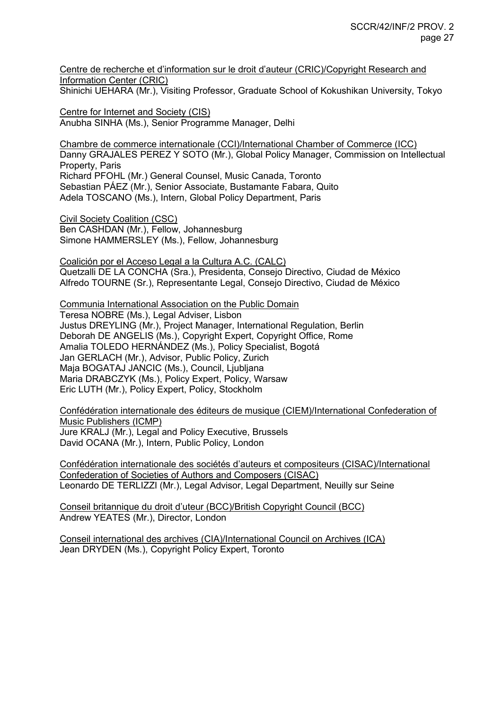Centre de recherche et d'information sur le droit d'auteur (CRIC)/Copyright Research and Information Center (CRIC)

Shinichi UEHARA (Mr.), Visiting Professor, Graduate School of Kokushikan University, Tokyo

Centre for Internet and Society (CIS) Anubha SINHA (Ms.), Senior Programme Manager, Delhi

Chambre de commerce internationale (CCI)/International Chamber of Commerce (ICC) Danny GRAJALES PEREZ Y SOTO (Mr.), Global Policy Manager, Commission on Intellectual Property, Paris Richard PFOHL (Mr.) General Counsel, Music Canada, Toronto Sebastian PÁEZ (Mr.), Senior Associate, Bustamante Fabara, Quito Adela TOSCANO (Ms.), Intern, Global Policy Department, Paris

Civil Society Coalition (CSC) Ben CASHDAN (Mr.), Fellow, Johannesburg Simone HAMMERSLEY (Ms.), Fellow, Johannesburg

Coalición por el Acceso Legal a la Cultura A.C. (CALC) Quetzalli DE LA CONCHA (Sra.), Presidenta, Consejo Directivo, Ciudad de México Alfredo TOURNE (Sr.), Representante Legal, Consejo Directivo, Ciudad de México

Communia International Association on the Public Domain

Teresa NOBRE (Ms.), Legal Adviser, Lisbon Justus DREYLING (Mr.), Project Manager, International Regulation, Berlin Deborah DE ANGELIS (Ms.), Copyright Expert, Copyright Office, Rome Amalia TOLEDO HERNÁNDEZ (Ms.), Policy Specialist, Bogotá Jan GERLACH (Mr.), Advisor, Public Policy, Zurich Maja BOGATAJ JANCIC (Ms.), Council, Ljubljana Maria DRABCZYK (Ms.), Policy Expert, Policy, Warsaw Eric LUTH (Mr.), Policy Expert, Policy, Stockholm

Confédération internationale des éditeurs de musique (CIEM)/International Confederation of Music Publishers (ICMP) Jure KRALJ (Mr.), Legal and Policy Executive, Brussels David OCANA (Mr.), Intern, Public Policy, London

Confédération internationale des sociétés d'auteurs et compositeurs (CISAC)/International Confederation of Societies of Authors and Composers (CISAC) Leonardo DE TERLIZZI (Mr.), Legal Advisor, Legal Department, Neuilly sur Seine

Conseil britannique du droit d'uteur (BCC)/British Copyright Council (BCC) Andrew YEATES (Mr.), Director, London

Conseil international des archives (CIA)/International Council on Archives (ICA) Jean DRYDEN (Ms.), Copyright Policy Expert, Toronto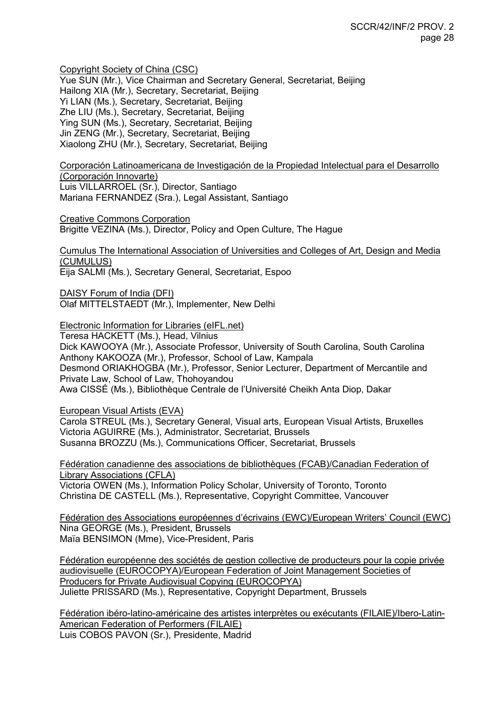Copyright Society of China (CSC)

Yue SUN (Mr.), Vice Chairman and Secretary General, Secretariat, Beijing Hailong XIA (Mr.), Secretary, Secretariat, Beijing Yi LIAN (Ms.), Secretary, Secretariat, Beijing Zhe LIU (Ms.), Secretary, Secretariat, Beijing Ying SUN (Ms.), Secretary, Secretariat, Beijing Jin ZENG (Mr.), Secretary, Secretariat, Beijing Xiaolong ZHU (Mr.), Secretary, Secretariat, Beijing

Corporación Latinoamericana de Investigación de la Propiedad Intelectual para el Desarrollo (Corporación Innovarte) Luis VILLARROEL (Sr.), Director, Santiago Mariana FERNANDEZ (Sra.), Legal Assistant, Santiago

Creative Commons Corporation Brigitte VEZINA (Ms.), Director, Policy and Open Culture, The Hague

Cumulus The International Association of Universities and Colleges of Art, Design and Media (CUMULUS) Eija SALMI (Ms.), Secretary General, Secretariat, Espoo

DAISY Forum of India (DFI) Olaf MITTELSTAEDT (Mr.), Implementer, New Delhi

Electronic Information for Libraries (eIFL.net)

Teresa HACKETT (Ms.), Head, Vilnius Dick KAWOOYA (Mr.), Associate Professor, University of South Carolina, South Carolina Anthony KAKOOZA (Mr.), Professor, School of Law, Kampala Desmond ORIAKHOGBA (Mr.), Professor, Senior Lecturer, Department of Mercantile and Private Law, School of Law, Thohoyandou Awa CISSÉ (Ms.), Bibliothèque Centrale de l'Université Cheikh Anta Diop, Dakar

European Visual Artists (EVA)

Carola STREUL (Ms.), Secretary General, Visual arts, European Visual Artists, Bruxelles Victoria AGUIRRE (Ms.), Administrator, Secretariat, Brussels Susanna BROZZU (Ms.), Communications Officer, Secretariat, Brussels

Fédération canadienne des associations de bibliothèques (FCAB)/Canadian Federation of Library Associations (CFLA) Victoria OWEN (Ms.), Information Policy Scholar, University of Toronto, Toronto

Christina DE CASTELL (Ms.), Representative, Copyright Committee, Vancouver

Fédération des Associations européennes d'écrivains (EWC)/European Writers' Council (EWC) Nina GEORGE (Ms.), President, Brussels Maïa BENSIMON (Mme), Vice-President, Paris

Fédération européenne des sociétés de gestion collective de producteurs pour la copie privée audiovisuelle (EUROCOPYA)/European Federation of Joint Management Societies of Producers for Private Audiovisual Copying (EUROCOPYA) Juliette PRISSARD (Ms.), Representative, Copyright Department, Brussels

Fédération ibéro-latino-américaine des artistes interprètes ou exécutants (FILAIE)/Ibero-Latin-American Federation of Performers (FILAIE) Luis COBOS PAVON (Sr.), Presidente, Madrid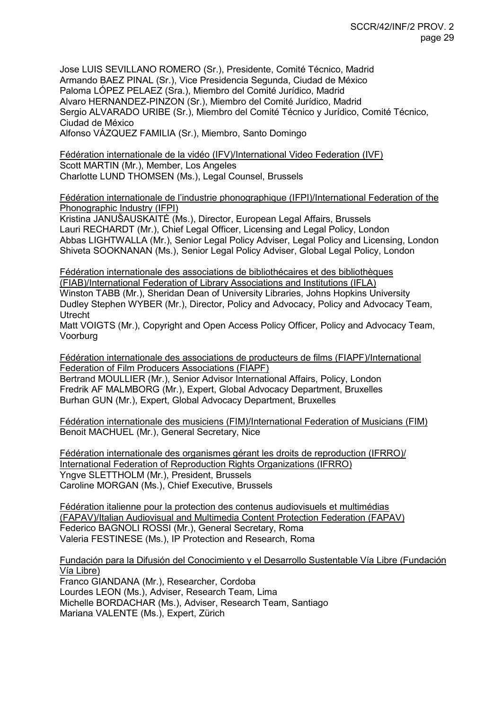Jose LUIS SEVILLANO ROMERO (Sr.), Presidente, Comité Técnico, Madrid Armando BAEZ PINAL (Sr.), Vice Presidencia Segunda, Ciudad de México Paloma LÓPEZ PELAEZ (Sra.), Miembro del Comité Jurídico, Madrid Alvaro HERNANDEZ-PINZON (Sr.), Miembro del Comité Jurídico, Madrid Sergio ALVARADO URIBE (Sr.), Miembro del Comité Técnico y Jurídico, Comité Técnico, Ciudad de México Alfonso VÁZQUEZ FAMILIA (Sr.), Miembro, Santo Domingo

Fédération internationale de la vidéo (IFV)/International Video Federation (IVF) Scott MARTIN (Mr.), Member, Los Angeles Charlotte LUND THOMSEN (Ms.), Legal Counsel, Brussels

Fédération internationale de l'industrie phonographique (IFPI)/International Federation of the Phonographic Industry (IFPI)

Kristina JANUŠAUSKAITĖ (Ms.), Director, European Legal Affairs, Brussels Lauri RECHARDT (Mr.), Chief Legal Officer, Licensing and Legal Policy, London Abbas LIGHTWALLA (Mr.), Senior Legal Policy Adviser, Legal Policy and Licensing, London Shiveta SOOKNANAN (Ms.), Senior Legal Policy Adviser, Global Legal Policy, London

Fédération internationale des associations de bibliothécaires et des bibliothèques (FIAB)/International Federation of Library Associations and Institutions (IFLA) Winston TABB (Mr.), Sheridan Dean of University Libraries, Johns Hopkins University Dudley Stephen WYBER (Mr.), Director, Policy and Advocacy, Policy and Advocacy Team, Utrecht

Matt VOIGTS (Mr.), Copyright and Open Access Policy Officer, Policy and Advocacy Team, Voorburg

Fédération internationale des associations de producteurs de films (FIAPF)/International Federation of Film Producers Associations (FIAPF) Bertrand MOULLIER (Mr.), Senior Advisor International Affairs, Policy, London Fredrik AF MALMBORG (Mr.), Expert, Global Advocacy Department, Bruxelles Burhan GUN (Mr.), Expert, Global Advocacy Department, Bruxelles

Fédération internationale des musiciens (FIM)/International Federation of Musicians (FIM) Benoit MACHUEL (Mr.), General Secretary, Nice

Fédération internationale des organismes gérant les droits de reproduction (IFRRO)/ International Federation of Reproduction Rights Organizations (IFRRO) Yngve SLETTHOLM (Mr.), President, Brussels Caroline MORGAN (Ms.), Chief Executive, Brussels

Fédération italienne pour la protection des contenus audiovisuels et multimédias (FAPAV)/Italian Audiovisual and Multimedia Content Protection Federation (FAPAV) Federico BAGNOLI ROSSI (Mr.), General Secretary, Roma Valeria FESTINESE (Ms.), IP Protection and Research, Roma

Fundación para la Difusión del Conocimiento y el Desarrollo Sustentable Vía Libre (Fundación Vía Libre)

Franco GIANDANA (Mr.), Researcher, Cordoba Lourdes LEON (Ms.), Adviser, Research Team, Lima Michelle BORDACHAR (Ms.), Adviser, Research Team, Santiago Mariana VALENTE (Ms.), Expert, Zürich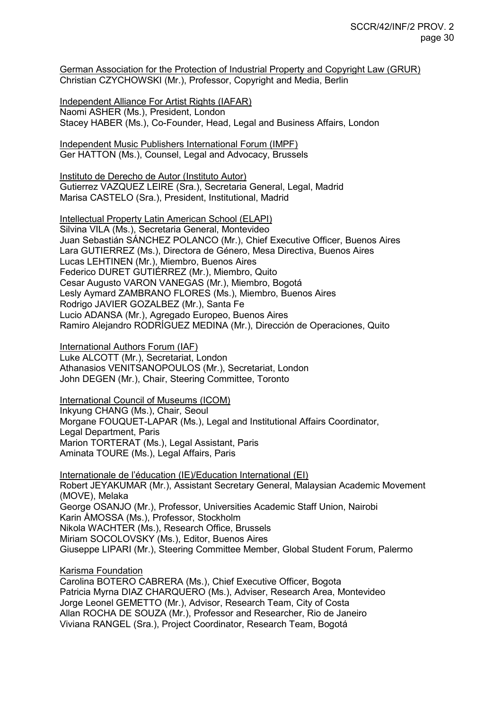German Association for the Protection of Industrial Property and Copyright Law (GRUR) Christian CZYCHOWSKI (Mr.), Professor, Copyright and Media, Berlin

Independent Alliance For Artist Rights (IAFAR) Naomi ASHER (Ms.), President, London Stacey HABER (Ms.), Co-Founder, Head, Legal and Business Affairs, London

Independent Music Publishers International Forum (IMPF) Ger HATTON (Ms.), Counsel, Legal and Advocacy, Brussels

Instituto de Derecho de Autor (Instituto Autor) Gutierrez VAZQUEZ LEIRE (Sra.), Secretaria General, Legal, Madrid Marisa CASTELO (Sra.), President, Institutional, Madrid

Intellectual Property Latin American School (ELAPI) Silvina VILA (Ms.), Secretaria General, Montevideo Juan Sebastián SÁNCHEZ POLANCO (Mr.), Chief Executive Officer, Buenos Aires Lara GUTIERREZ (Ms.), Directora de Género, Mesa Directiva, Buenos Aires Lucas LEHTINEN (Mr.), Miembro, Buenos Aires Federico DURET GUTIÉRREZ (Mr.), Miembro, Quito Cesar Augusto VARON VANEGAS (Mr.), Miembro, Bogotá Lesly Aymard ZAMBRANO FLORES (Ms.), Miembro, Buenos Aires Rodrigo JAVIER GOZALBEZ (Mr.), Santa Fe Lucio ADANSA (Mr.), Agregado Europeo, Buenos Aires Ramiro Alejandro RODRÍGUEZ MEDINA (Mr.), Dirección de Operaciones, Quito

International Authors Forum (IAF) Luke ALCOTT (Mr.), Secretariat, London

Athanasios VENITSANOPOULOS (Mr.), Secretariat, London John DEGEN (Mr.), Chair, Steering Committee, Toronto

International Council of Museums (ICOM) Inkyung CHANG (Ms.), Chair, Seoul Morgane FOUQUET-LAPAR (Ms.), Legal and Institutional Affairs Coordinator, Legal Department, Paris Marion TORTERAT (Ms.), Legal Assistant, Paris Aminata TOURE (Ms.), Legal Affairs, Paris

Internationale de l'éducation (IE)/Education International (EI) Robert JEYAKUMAR (Mr.), Assistant Secretary General, Malaysian Academic Movement (MOVE), Melaka George OSANJO (Mr.), Professor, Universities Academic Staff Union, Nairobi Karin ÅMOSSA (Ms.), Professor, Stockholm Nikola WACHTER (Ms.), Research Office, Brussels Miriam SOCOLOVSKY (Ms.), Editor, Buenos Aires Giuseppe LIPARI (Mr.), Steering Committee Member, Global Student Forum, Palermo

Karisma Foundation

Carolina BOTERO CABRERA (Ms.), Chief Executive Officer, Bogota Patricia Myrna DIAZ CHARQUERO (Ms.), Adviser, Research Area, Montevideo Jorge Leonel GEMETTO (Mr.), Advisor, Research Team, City of Costa Allan ROCHA DE SOUZA (Mr.), Professor and Researcher, Rio de Janeiro Viviana RANGEL (Sra.), Project Coordinator, Research Team, Bogotá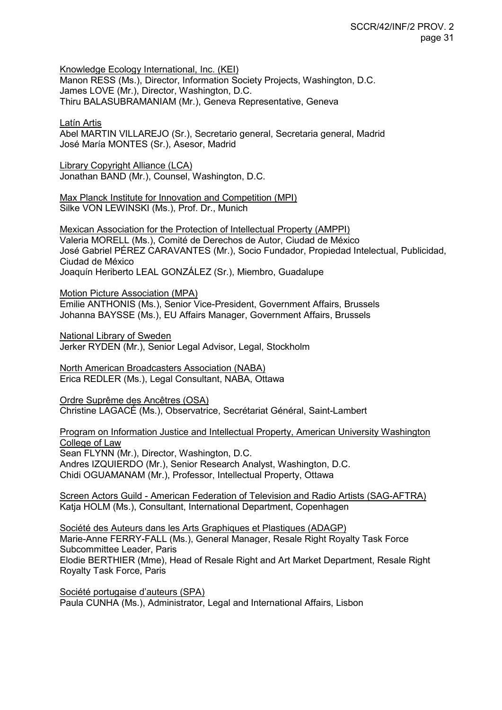Knowledge Ecology International, Inc. (KEI)

Manon RESS (Ms.), Director, Information Society Projects, Washington, D.C. James LOVE (Mr.), Director, Washington, D.C. Thiru BALASUBRAMANIAM (Mr.), Geneva Representative, Geneva

Latín Artis

Abel MARTIN VILLAREJO (Sr.), Secretario general, Secretaria general, Madrid José María MONTES (Sr.), Asesor, Madrid

Library Copyright Alliance (LCA) Jonathan BAND (Mr.), Counsel, Washington, D.C.

Max Planck Institute for Innovation and Competition (MPI) Silke VON LEWINSKI (Ms.), Prof. Dr., Munich

Mexican Association for the Protection of Intellectual Property (AMPPI) Valeria MORELL (Ms.), Comité de Derechos de Autor, Ciudad de México José Gabriel PÉREZ CARAVANTES (Mr.), Socio Fundador, Propiedad Intelectual, Publicidad, Ciudad de México Joaquín Heriberto LEAL GONZÁLEZ (Sr.), Miembro, Guadalupe

Motion Picture Association (MPA) Emilie ANTHONIS (Ms.), Senior Vice-President, Government Affairs, Brussels Johanna BAYSSE (Ms.), EU Affairs Manager, Government Affairs, Brussels

National Library of Sweden Jerker RYDEN (Mr.), Senior Legal Advisor, Legal, Stockholm

North American Broadcasters Association (NABA) Erica REDLER (Ms.), Legal Consultant, NABA, Ottawa

Ordre Suprême des Ancêtres (OSA) Christine LAGACÉ (Ms.), Observatrice, Secrétariat Général, Saint-Lambert

Program on Information Justice and Intellectual Property, American University Washington College of Law

Sean FLYNN (Mr.), Director, Washington, D.C. Andres IZQUIERDO (Mr.), Senior Research Analyst, Washington, D.C. Chidi OGUAMANAM (Mr.), Professor, Intellectual Property, Ottawa

Screen Actors Guild - American Federation of Television and Radio Artists (SAG-AFTRA) Katja HOLM (Ms.), Consultant, International Department, Copenhagen

Société des Auteurs dans les Arts Graphiques et Plastiques (ADAGP) Marie-Anne FERRY-FALL (Ms.), General Manager, Resale Right Royalty Task Force Subcommittee Leader, Paris Elodie BERTHIER (Mme), Head of Resale Right and Art Market Department, Resale Right Royalty Task Force, Paris

Société portugaise d'auteurs (SPA) Paula CUNHA (Ms.), Administrator, Legal and International Affairs, Lisbon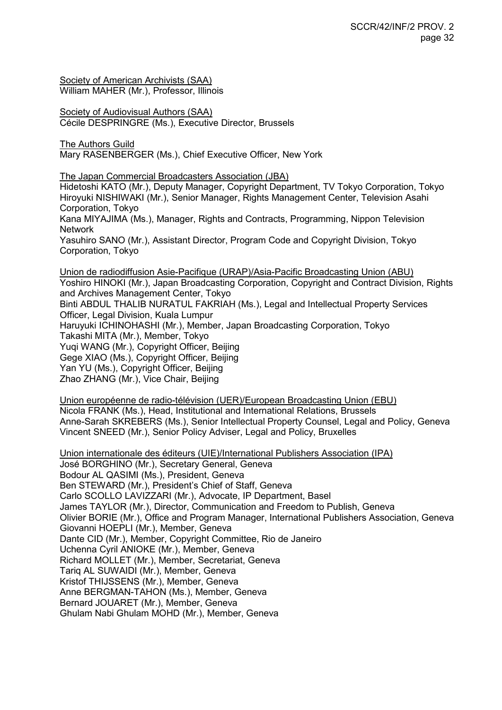Society of American Archivists (SAA) William MAHER (Mr.), Professor, Illinois

Society of Audiovisual Authors (SAA) Cécile DESPRINGRE (Ms.), Executive Director, Brussels

The Authors Guild Mary RASENBERGER (Ms.), Chief Executive Officer, New York

The Japan Commercial Broadcasters Association (JBA)

Hidetoshi KATO (Mr.), Deputy Manager, Copyright Department, TV Tokyo Corporation, Tokyo Hiroyuki NISHIWAKI (Mr.), Senior Manager, Rights Management Center, Television Asahi Corporation, Tokyo

Kana MIYAJIMA (Ms.), Manager, Rights and Contracts, Programming, Nippon Television Network

Yasuhiro SANO (Mr.), Assistant Director, Program Code and Copyright Division, Tokyo Corporation, Tokyo

Union de radiodiffusion Asie-Pacifique (URAP)/Asia-Pacific Broadcasting Union (ABU) Yoshiro HINOKI (Mr.), Japan Broadcasting Corporation, Copyright and Contract Division, Rights and Archives Management Center, Tokyo Binti ABDUL THALIB NURATUL FAKRIAH (Ms.), Legal and Intellectual Property Services Officer, Legal Division, Kuala Lumpur Haruyuki ICHINOHASHI (Mr.), Member, Japan Broadcasting Corporation, Tokyo Takashi MITA (Mr.), Member, Tokyo Yuqi WANG (Mr.), Copyright Officer, Beijing Gege XIAO (Ms.), Copyright Officer, Beijing Yan YU (Ms.), Copyright Officer, Beijing Zhao ZHANG (Mr.), Vice Chair, Beijing

Union européenne de radio-télévision (UER)/European Broadcasting Union (EBU) Nicola FRANK (Ms.), Head, Institutional and International Relations, Brussels Anne-Sarah SKREBERS (Ms.), Senior Intellectual Property Counsel, Legal and Policy, Geneva Vincent SNEED (Mr.), Senior Policy Adviser, Legal and Policy, Bruxelles

Union internationale des éditeurs (UIE)/International Publishers Association (IPA)

José BORGHINO (Mr.), Secretary General, Geneva Bodour AL QASIMI (Ms.), President, Geneva Ben STEWARD (Mr.), President's Chief of Staff, Geneva Carlo SCOLLO LAVIZZARI (Mr.), Advocate, IP Department, Basel James TAYLOR (Mr.), Director, Communication and Freedom to Publish, Geneva Olivier BORIE (Mr.), Office and Program Manager, International Publishers Association, Geneva Giovanni HOEPLI (Mr.), Member, Geneva Dante CID (Mr.), Member, Copyright Committee, Rio de Janeiro Uchenna Cyril ANIOKE (Mr.), Member, Geneva Richard MOLLET (Mr.), Member, Secretariat, Geneva Tariq AL SUWAIDI (Mr.), Member, Geneva Kristof THIJSSENS (Mr.), Member, Geneva Anne BERGMAN-TAHON (Ms.), Member, Geneva Bernard JOUARET (Mr.), Member, Geneva Ghulam Nabi Ghulam MOHD (Mr.), Member, Geneva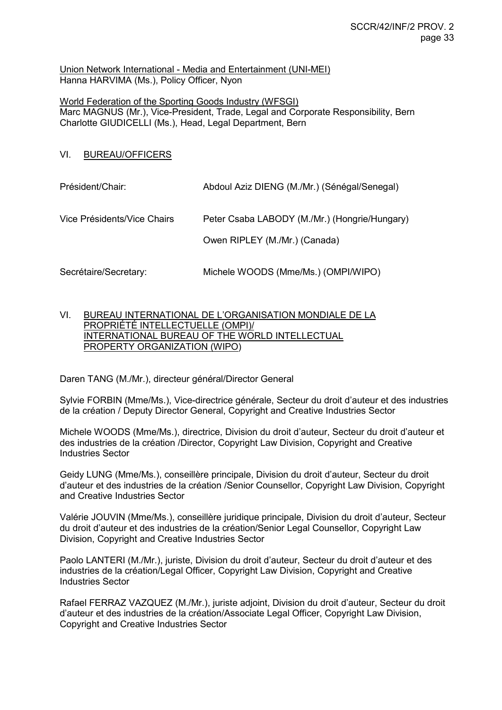Union Network International - Media and Entertainment (UNI-MEI) Hanna HARVIMA (Ms.), Policy Officer, Nyon

World Federation of the Sporting Goods Industry (WFSGI) Marc MAGNUS (Mr.), Vice-President, Trade, Legal and Corporate Responsibility, Bern Charlotte GIUDICELLI (Ms.), Head, Legal Department, Bern

VI. BUREAU/OFFICERS

| Président/Chair:            | Abdoul Aziz DIENG (M./Mr.) (Sénégal/Senegal)  |
|-----------------------------|-----------------------------------------------|
| Vice Présidents/Vice Chairs | Peter Csaba LABODY (M./Mr.) (Hongrie/Hungary) |
|                             | Owen RIPLEY (M./Mr.) (Canada)                 |
| Secrétaire/Secretary:       | Michele WOODS (Mme/Ms.) (OMPI/WIPO)           |

VI. BUREAU INTERNATIONAL DE L'ORGANISATION MONDIALE DE LA PROPRIÉTÉ INTELLECTUELLE (OMPI)/ INTERNATIONAL BUREAU OF THE WORLD INTELLECTUAL PROPERTY ORGANIZATION (WIPO)

Daren TANG (M./Mr.), directeur général/Director General

Sylvie FORBIN (Mme/Ms.), Vice-directrice générale, Secteur du droit d'auteur et des industries de la création / Deputy Director General, Copyright and Creative Industries Sector

Michele WOODS (Mme/Ms.), directrice, Division du droit d'auteur, Secteur du droit d'auteur et des industries de la création /Director, Copyright Law Division, Copyright and Creative Industries Sector

Geidy LUNG (Mme/Ms.), conseillère principale, Division du droit d'auteur, Secteur du droit d'auteur et des industries de la création /Senior Counsellor, Copyright Law Division, Copyright and Creative Industries Sector

Valérie JOUVIN (Mme/Ms.), conseillère juridique principale, Division du droit d'auteur, Secteur du droit d'auteur et des industries de la création/Senior Legal Counsellor, Copyright Law Division, Copyright and Creative Industries Sector

Paolo LANTERI (M./Mr.), juriste, Division du droit d'auteur, Secteur du droit d'auteur et des industries de la création/Legal Officer, Copyright Law Division, Copyright and Creative Industries Sector

Rafael FERRAZ VAZQUEZ (M./Mr.), juriste adjoint, Division du droit d'auteur, Secteur du droit d'auteur et des industries de la création/Associate Legal Officer, Copyright Law Division, Copyright and Creative Industries Sector